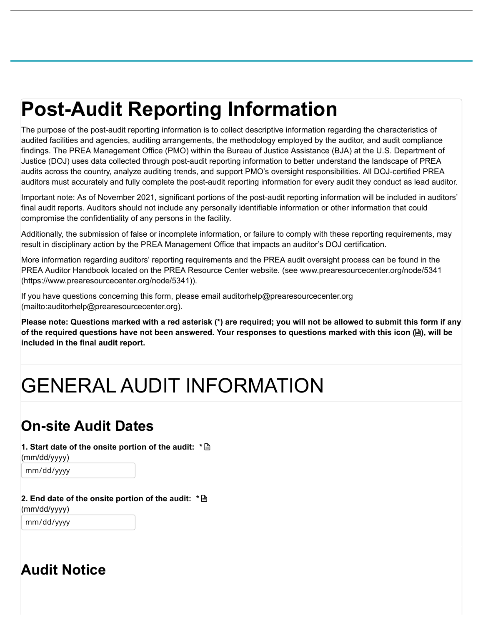# **Post-Audit Reporting Information**

The purpose of the post-audit reporting information is to collect descriptive information regarding the characteristics of audited facilities and agencies, auditing arrangements, the methodology employed by the auditor, and audit compliance findings. The PREA Management Office (PMO) within the Bureau of Justice Assistance (BJA) at the U.S. Department of Justice (DOJ) uses data collected through post-audit reporting information to better understand the landscape of PREA audits across the country, analyze auditing trends, and support PMO's oversight responsibilities. All DOJ-certified PREA auditors must accurately and fully complete the post-audit reporting information for every audit they conduct as lead auditor.

Important note: As of November 2021, significant portions of the post-audit reporting information will be included in auditors' final audit reports. Auditors should not include any personally identifiable information or other information that could compromise the confidentiality of any persons in the facility.

Additionally, the submission of false or incomplete information, or failure to comply with these reporting requirements, may result in disciplinary action by the PREA Management Office that impacts an auditor's DOJ certification.

More information regarding auditors' reporting requirements and the PREA audit oversight process can be found in the [PREA Auditor Handbook located on the PREA Resource Center website. \(see www.prearesourcecenter.org/node/5341](https://www.prearesourcecenter.org/node/5341) (https://www.prearesourcecenter.org/node/5341)).

[If you have questions concerning this form, please email auditorhelp@prearesourcecenter.org](mailto:auditorhelp@prearesourcecenter.org) (mailto:auditorhelp@prearesourcecenter.org).

**Please note: Questions marked with a red asterisk (\*) are required; you will not be allowed to submit this form if any of the required questions have not been answered. Your responses to questions marked with this icon (), will be included in the final audit report.**

# GENERAL AUDIT INFORMATION

# **On-site Audit Dates**

**1. Start date of the onsite portion of the audit: \***

(mm/dd/yyyy)

mm/dd/yyyy

**2. End date of the onsite portion of the audit: \***(mm/dd/yyyy)

mm/dd/yyyy

# **Audit Notice**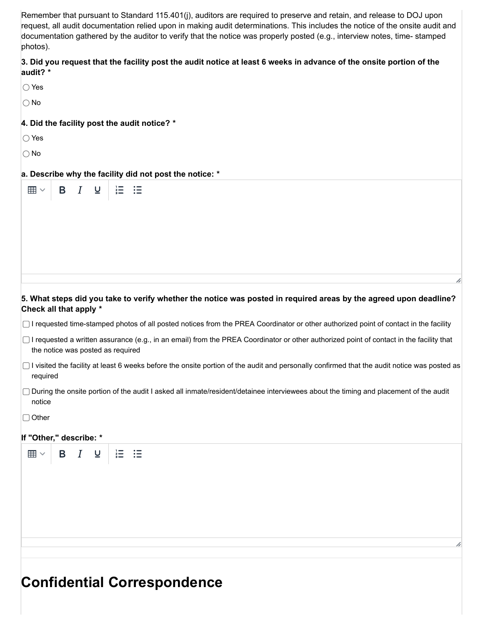Remember that pursuant to Standard 115.401(j), auditors are required to preserve and retain, and release to DOJ upon request, all audit documentation relied upon in making audit determinations. This includes the notice of the onsite audit and documentation gathered by the auditor to verify that the notice was properly posted (e.g., interview notes, time- stamped photos).

#### 3. Did you request that the facility post the audit notice at least 6 weeks in advance of the onsite portion of the **audit? \***

|--|

 $\bigcirc$  No

#### **4. Did the facility post the audit notice? \***

 $\overline{\mathsf{u}}$ 

Yes

∩ No

 $\boxplus$   $\vee$ 

B  $I$ 

#### **a. Describe why the facility did not post the notice: \***

這

這

# 5. What steps did you take to verify whether the notice was posted in required areas by the agreed upon deadline? **Check all that apply \***

- $\Box$  I requested time-stamped photos of all posted notices from the PREA Coordinator or other authorized point of contact in the facility
- □ I requested a written assurance (e.g., in an email) from the PREA Coordinator or other authorized point of contact in the facility that the notice was posted as required
- $\Box$  I visited the facility at least 6 weeks before the onsite portion of the audit and personally confirmed that the audit notice was posted as required
- During the onsite portion of the audit I asked all inmate/resident/detainee interviewees about the timing and placement of the audit notice

 $\Box$  Other

#### **If "Other," describe: \***



# **Confidential Correspondence**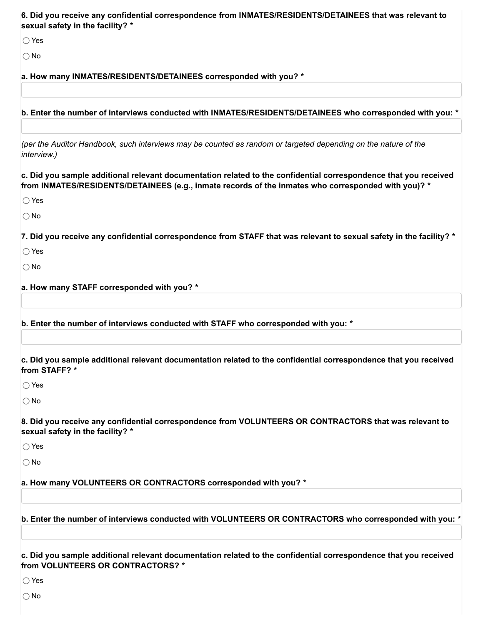| 6. Did you receive any confidential correspondence from INMATES/RESIDENTS/DETAINEES that was relevant to<br>sexual safety in the facility? *                                                                            |
|-------------------------------------------------------------------------------------------------------------------------------------------------------------------------------------------------------------------------|
| $\bigcirc$ Yes                                                                                                                                                                                                          |
| $\bigcirc$ No                                                                                                                                                                                                           |
| a. How many INMATES/RESIDENTS/DETAINEES corresponded with you? *                                                                                                                                                        |
|                                                                                                                                                                                                                         |
| b. Enter the number of interviews conducted with INMATES/RESIDENTS/DETAINEES who corresponded with you: *                                                                                                               |
| (per the Auditor Handbook, such interviews may be counted as random or targeted depending on the nature of the<br>interview.)                                                                                           |
| c. Did you sample additional relevant documentation related to the confidential correspondence that you received<br>from INMATES/RESIDENTS/DETAINEES (e.g., inmate records of the inmates who corresponded with you)? * |
| $\bigcirc$ Yes                                                                                                                                                                                                          |
| $\bigcirc$ No                                                                                                                                                                                                           |
| 7. Did you receive any confidential correspondence from STAFF that was relevant to sexual safety in the facility? *                                                                                                     |
| $\bigcirc$ Yes                                                                                                                                                                                                          |
| $\bigcirc$ No                                                                                                                                                                                                           |
| a. How many STAFF corresponded with you? *                                                                                                                                                                              |
|                                                                                                                                                                                                                         |
| b. Enter the number of interviews conducted with STAFF who corresponded with you: *                                                                                                                                     |
|                                                                                                                                                                                                                         |
| c. Did you sample additional relevant documentation related to the confidential correspondence that you received<br>from STAFF? *                                                                                       |
| $\bigcirc$ Yes                                                                                                                                                                                                          |
| $\bigcirc$ No                                                                                                                                                                                                           |
| 8. Did you receive any confidential correspondence from VOLUNTEERS OR CONTRACTORS that was relevant to<br>sexual safety in the facility? *                                                                              |
| $\bigcirc$ Yes                                                                                                                                                                                                          |
| $\bigcirc$ No                                                                                                                                                                                                           |
| a. How many VOLUNTEERS OR CONTRACTORS corresponded with you? *                                                                                                                                                          |
|                                                                                                                                                                                                                         |
| b. Enter the number of interviews conducted with VOLUNTEERS OR CONTRACTORS who corresponded with you: *                                                                                                                 |
| c. Did you sample additional relevant documentation related to the confidential correspondence that you received<br>from VOLUNTEERS OR CONTRACTORS? *                                                                   |
| $\bigcirc$ Yes                                                                                                                                                                                                          |

 $\overline{\bigcirc}$  No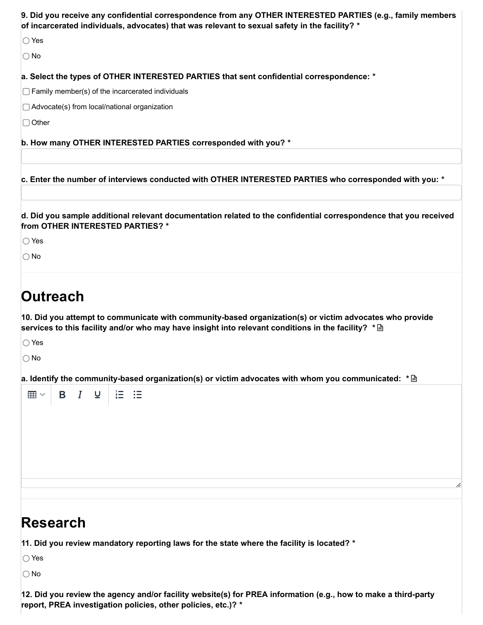| 9. Did you receive any confidential correspondence from any OTHER INTERESTED PARTIES (e.g., family members<br>of incarcerated individuals, advocates) that was relevant to sexual safety in the facility? *                                                        |
|--------------------------------------------------------------------------------------------------------------------------------------------------------------------------------------------------------------------------------------------------------------------|
| $\bigcirc$ Yes                                                                                                                                                                                                                                                     |
| $\bigcirc$ No                                                                                                                                                                                                                                                      |
| a. Select the types of OTHER INTERESTED PARTIES that sent confidential correspondence: *                                                                                                                                                                           |
| $\Box$ Family member(s) of the incarcerated individuals                                                                                                                                                                                                            |
| $\Box$ Advocate(s) from local/national organization                                                                                                                                                                                                                |
| $\Box$ Other                                                                                                                                                                                                                                                       |
| b. How many OTHER INTERESTED PARTIES corresponded with you? *                                                                                                                                                                                                      |
| c. Enter the number of interviews conducted with OTHER INTERESTED PARTIES who corresponded with you: *                                                                                                                                                             |
| d. Did you sample additional relevant documentation related to the confidential correspondence that you received<br>from OTHER INTERESTED PARTIES? *<br>$\bigcirc$ Yes<br>$\bigcirc$ No                                                                            |
| Outreach<br>10. Did you attempt to communicate with community-based organization(s) or victim advocates who provide<br>services to this facility and/or who may have insight into relevant conditions in the facility? $*\cong$<br>$\bigcirc$ Yes<br>$\bigcirc$ No |
| a. Identify the community-based organization(s) or victim advocates with whom you communicated: $*\cong$                                                                                                                                                           |
| <b>B</b> $I$ <b>U</b><br>$\boxplus$ $\vee$<br>$\equiv$<br>二三                                                                                                                                                                                                       |
|                                                                                                                                                                                                                                                                    |

# **Research**

**11. Did you review mandatory reporting laws for the state where the facility is located? \***

Yes

 $\bigcirc$  No

12. Did you review the agency and/or facility website(s) for PREA information (e.g., how to make a third-party **report, PREA investigation policies, other policies, etc.)? \***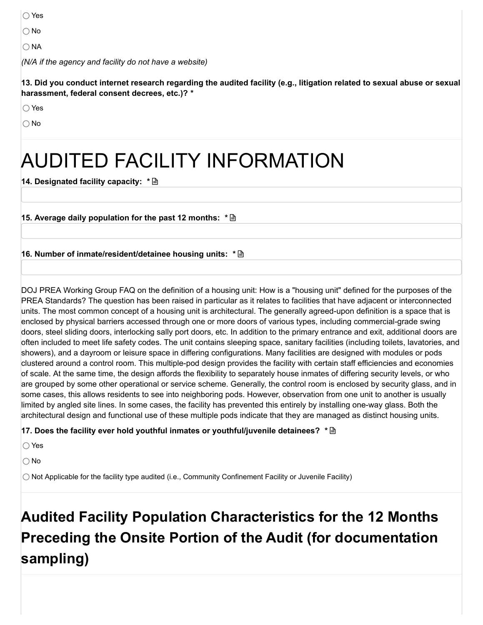◯ Yes

 $\bigcirc$  No

 $\bigcap$  NA

*(N/A if the agency and facility do not have a website)*

13. Did vou conduct internet research regarding the audited facility (e.g., litigation related to sexual abuse or sexual **harassment, federal consent decrees, etc.)? \***

◯ Yes

 $\bigcap$  No

# AUDITED FACILITY INFORMATION

**14. Designated facility capacity: \***

**15. Average daily population for the past 12 months: \***

#### **16. Number of inmate/resident/detainee housing units: \***

DOJ PREA Working Group FAQ on the definition of a housing unit: How is a "housing unit" defined for the purposes of the PREA Standards? The question has been raised in particular as it relates to facilities that have adjacent or interconnected units. The most common concept of a housing unit is architectural. The generally agreed-upon definition is a space that is enclosed by physical barriers accessed through one or more doors of various types, including commercial-grade swing doors, steel sliding doors, interlocking sally port doors, etc. In addition to the primary entrance and exit, additional doors are often included to meet life safety codes. The unit contains sleeping space, sanitary facilities (including toilets, lavatories, and showers), and a dayroom or leisure space in differing configurations. Many facilities are designed with modules or pods clustered around a control room. This multiple-pod design provides the facility with certain staff efficiencies and economies of scale. At the same time, the design affords the flexibility to separately house inmates of differing security levels, or who are grouped by some other operational or service scheme. Generally, the control room is enclosed by security glass, and in some cases, this allows residents to see into neighboring pods. However, observation from one unit to another is usually limited by angled site lines. In some cases, the facility has prevented this entirely by installing one-way glass. Both the architectural design and functional use of these multiple pods indicate that they are managed as distinct housing units.

**17. Does the facility ever hold youthful inmates or youthful/juvenile detainees? \***

Yes

○ No

 $\bigcirc$  Not Applicable for the facility type audited (i.e., Community Confinement Facility or Juvenile Facility)

# **Audited Facility Population Characteristics for the 12 Months Preceding the Onsite Portion of the Audit (for documentation sampling)**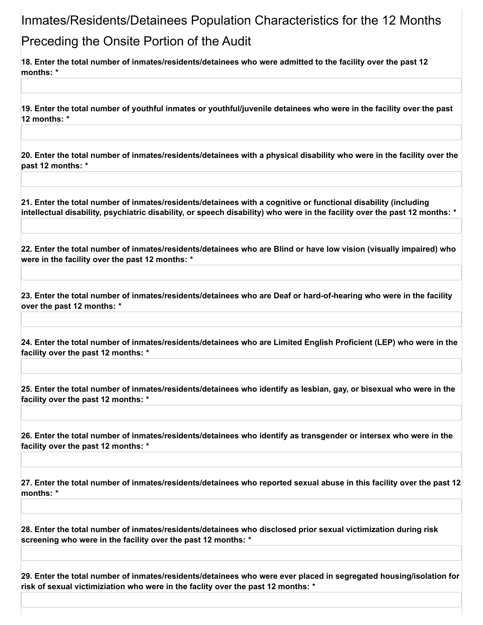# Inmates/Residents/Detainees Population Characteristics for the 12 Months Preceding the Onsite Portion of the Audit

18. Enter the total number of inmates/residents/detainees who were admitted to the facility over the past 12 **months: \***

19. Enter the total number of vouthful inmates or vouthful/iuvenile detainees who were in the facility over the past **12 months: \***

20. Enter the total number of inmates/residents/detainees with a physical disability who were in the facility over the **past 12 months: \***

**21. Enter the total number of inmates/residents/detainees with a cognitive or functional disability (including** intellectual disability, psychiatric disability, or speech disability) who were in the facility over the past 12 months: \*

22. Enter the total number of inmates/residents/detainees who are Blind or have low vision (visually impaired) who **were in the facility over the past 12 months: \***

23. Enter the total number of inmates/residents/detainees who are Deaf or hard-of-hearing who were in the facility **over the past 12 months: \***

24. Enter the total number of inmates/residents/detainees who are Limited English Proficient (LEP) who were in the **facility over the past 12 months: \***

25. Enter the total number of inmates/residents/detainees who identify as lesbian, gay, or bisexual who were in the **facility over the past 12 months: \***

26. Enter the total number of inmates/residents/detainees who identify as transgender or intersex who were in the **facility over the past 12 months: \***

27. Enter the total number of inmates/residents/detainees who reported sexual abuse in this facility over the past 12 **months: \***

**28. Enter the total number of inmates/residents/detainees who disclosed prior sexual victimization during risk screening who were in the facility over the past 12 months: \***

**29. Enter the total number of inmates/residents/detainees who were ever placed in segregated housing/isolation for risk of sexual victimiziation who were in the faclity over the past 12 months: \***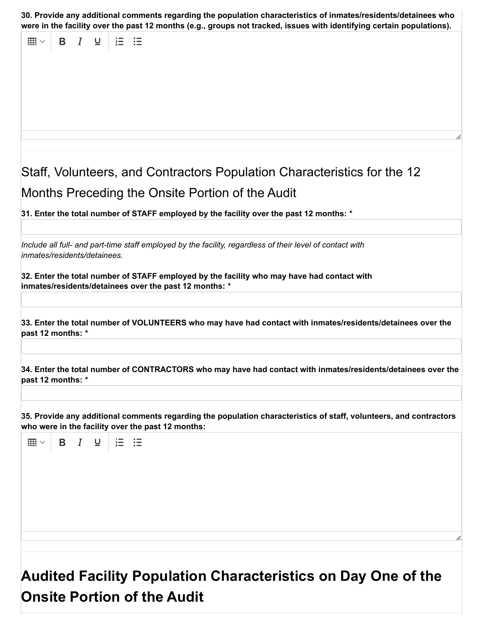**30. Provide any additional comments regarding the population characteristics of inmates/residents/detainees who** were in the facility over the past 12 months (e.g., groups not tracked, issues with identifying certain populations).

田 $\vee$  $B$   $I$  $\cup$ 狂 狂 Staff, Volunteers, and Contractors Population Characteristics for the 12 Months Preceding the Onsite Portion of the Audit **31. Enter the total number of STAFF employed by the facility over the past 12 months: \*** *Include all full- and part-time staff employed by the facility, regardless of their level of contact with inmates/residents/detainees.* **32. Enter the total number of STAFF employed by the facility who may have had contact with inmates/residents/detainees over the past 12 months: \* 33. Enter the total number of VOLUNTEERS who may have had contact with inmates/residents/detainees over the past 12 months: \* 34. Enter the total number of CONTRACTORS who may have had contact with inmates/residents/detainees over the past 12 months: \*35. Provide any additional comments regarding the population characteristics of staff, volunteers, and contractors who were in the facility over the past 12 months:**  $\boxplus$   $\vee$  $\mathsf{B}$   $I$ <u>ប</u> 狂 狂

**Audited Facility Population Characteristics on Day One of the Onsite Portion of the Audit**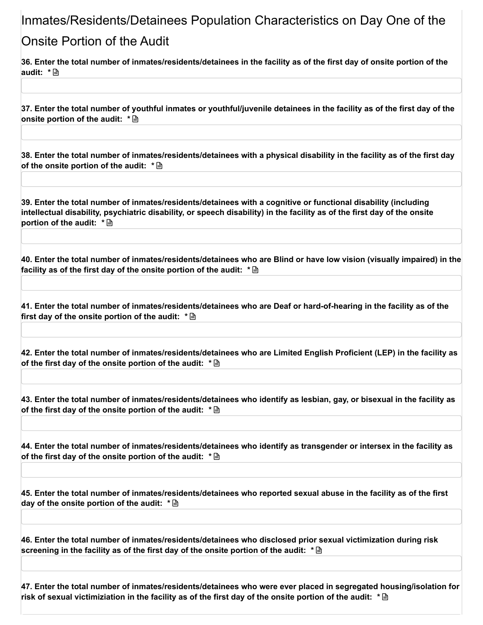### Inmates/Residents/Detainees Population Characteristics on Day One of the

### Onsite Portion of the Audit

36. Enter the total number of inmates/residents/detainees in the facility as of the first day of onsite portion of the **audit: \***

37. Enter the total number of vouthful inmates or vouthful/iuvenile detainees in the facility as of the first day of the **onsite portion of the audit: \***

38. Enter the total number of inmates/residents/detainees with a physical disability in the facility as of the first day **of the onsite portion of the audit: \***

**39. Enter the total number of inmates/residents/detainees with a cognitive or functional disability (including** intellectual disability, psychiatric disability, or speech disability) in the facility as of the first day of the onsite **portion of the audit: \***

40. Enter the total number of inmates/residents/detainees who are Blind or have low vision (visually impaired) in the **facility as of the first day of the onsite portion of the audit: \***

41. Enter the total number of inmates/residents/detainees who are Deaf or hard-of-hearing in the facility as of the **first day of the onsite portion of the audit: \***

42. Enter the total number of inmates/residents/detainees who are Limited English Proficient (LEP) in the facility as **of the first day of the onsite portion of the audit: \***

43. Enter the total number of inmates/residents/detainees who identify as lesbian, gay, or bisexual in the facility as **of the first day of the onsite portion of the audit: \***

44. Enter the total number of inmates/residents/detainees who identify as transgender or intersex in the facility as **of the first day of the onsite portion of the audit: \***

45. Enter the total number of inmates/residents/detainees who reported sexual abuse in the facility as of the first **day of the onsite portion of the audit: \***

**46. Enter the total number of inmates/residents/detainees who disclosed prior sexual victimization during risk screening in the facility as of the first day of the onsite portion of the audit: \***

**47. Enter the total number of inmates/residents/detainees who were ever placed in segregated housing/isolation for** risk of sexual victimiziation in the facility as of the first day of the onsite portion of the audit:  $~^* \mathop{\boxplus}~$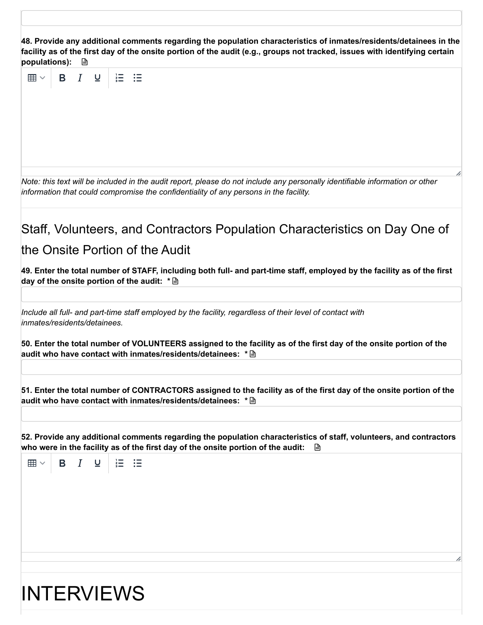**48. Provide any additional comments regarding the population characteristics of inmates/residents/detainees in the** facility as of the first day of the onsite portion of the audit (e.g., groups not tracked, issues with identifying certain



# INTERVIEWS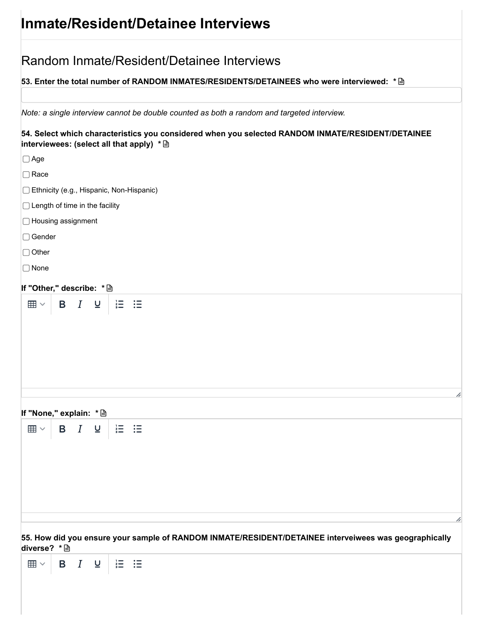# **Inmate/Resident/Detainee Interviews**

| Random Inmate/Resident/Detainee Interviews                                                                                                     |
|------------------------------------------------------------------------------------------------------------------------------------------------|
| 53. Enter the total number of RANDOM INMATES/RESIDENTS/DETAINEES who were interviewed: * A                                                     |
|                                                                                                                                                |
| Note: a single interview cannot be double counted as both a random and targeted interview.                                                     |
| 54. Select which characteristics you considered when you selected RANDOM INMATE/RESIDENT/DETAINEE<br>interviewees: (select all that apply) * A |
| $\Box$ Age                                                                                                                                     |
| $\Box$ Race                                                                                                                                    |
| Ethnicity (e.g., Hispanic, Non-Hispanic)                                                                                                       |
| $\Box$ Length of time in the facility                                                                                                          |
| □ Housing assignment                                                                                                                           |
| $\Box$ Gender                                                                                                                                  |
| $\Box$ Other                                                                                                                                   |
| $\Box$ None                                                                                                                                    |
| If "Other," describe: * A                                                                                                                      |
| <b>B</b> <i>I</i> ⊎<br>$\stackrel{?}{=}$<br>信<br>$\boxplus$ $\vee$                                                                             |
| h<br>If "None," explain: * a                                                                                                                   |
| <b>B</b> <i>I</i> <b>U</b><br>$\equiv$ $\equiv$<br>$\boxplus$ $\vee$                                                                           |
| 55. How did you ensure your sample of RANDOM INMATE/RESIDENT/DETAINEE interveiwees was geographically<br>diverse? * A                          |
| B $I \cup  \geq$ $\equiv$ $\equiv$<br>$\boxplus$ $\vee$                                                                                        |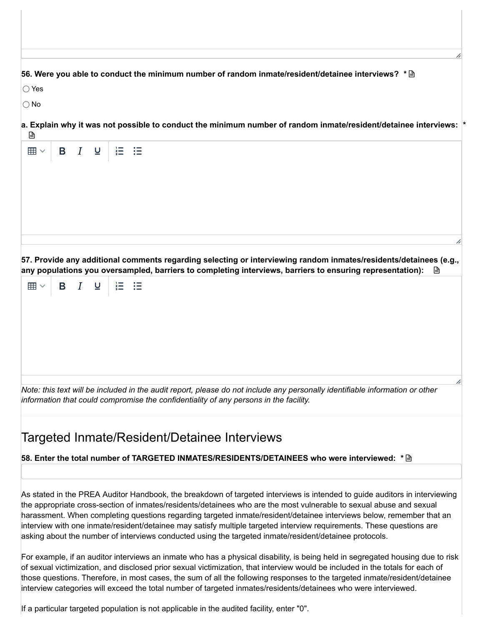#### **56. Were you able to conduct the minimum number of random inmate/resident/detainee interviews? \***

◯ Yes

○ No

**a. Explain why it was not possible to conduct the minimum number of random inmate/resident/detainee interviews:**  $\mathbb{D}$ **\***

| - |  |  |  |  |  |  |   |
|---|--|--|--|--|--|--|---|
|   |  |  |  |  |  |  |   |
|   |  |  |  |  |  |  |   |
|   |  |  |  |  |  |  |   |
|   |  |  |  |  |  |  |   |
|   |  |  |  |  |  |  |   |
|   |  |  |  |  |  |  |   |
|   |  |  |  |  |  |  |   |
|   |  |  |  |  |  |  |   |
|   |  |  |  |  |  |  |   |
|   |  |  |  |  |  |  |   |
|   |  |  |  |  |  |  |   |
|   |  |  |  |  |  |  |   |
|   |  |  |  |  |  |  |   |
|   |  |  |  |  |  |  | 4 |
|   |  |  |  |  |  |  |   |

**57. Provide any additional comments regarding selecting or interviewing random inmates/residents/detainees (e.g., any populations you oversampled, barriers to completing interviews, barriers to ensuring representation):**



Note: this text will be included in the audit report, please do not include any personally identifiable information or other *information that could compromise the confidentiality of any persons in the facility.*

### Targeted Inmate/Resident/Detainee Interviews

#### **58. Enter the total number of TARGETED INMATES/RESIDENTS/DETAINEES who were interviewed: \***

As stated in the PREA Auditor Handbook, the breakdown of targeted interviews is intended to guide auditors in interviewing the appropriate cross-section of inmates/residents/detainees who are the most vulnerable to sexual abuse and sexual harassment. When completing questions regarding targeted inmate/resident/detainee interviews below, remember that an interview with one inmate/resident/detainee may satisfy multiple targeted interview requirements. These questions are asking about the number of interviews conducted using the targeted inmate/resident/detainee protocols.

For example, if an auditor interviews an inmate who has a physical disability, is being held in segregated housing due to risk of sexual victimization, and disclosed prior sexual victimization, that interview would be included in the totals for each of those questions. Therefore, in most cases, the sum of all the following responses to the targeted inmate/resident/detainee interview categories will exceed the total number of targeted inmates/residents/detainees who were interviewed.

If a particular targeted population is not applicable in the audited facility, enter "0".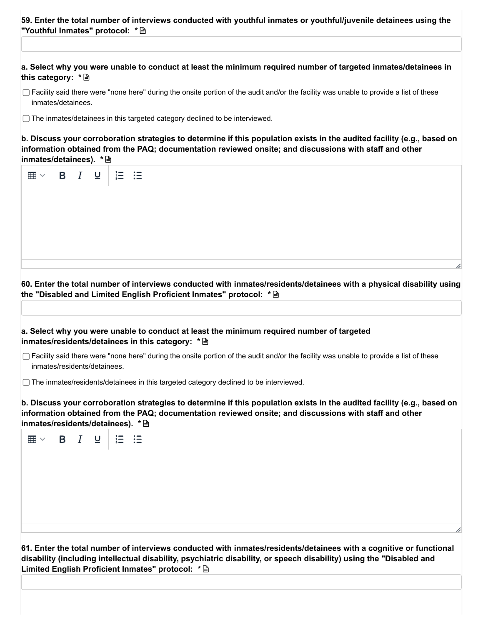| 59. Enter the total number of interviews conducted with youthful inmates or youthful/juvenile detainees using the |  |  |
|-------------------------------------------------------------------------------------------------------------------|--|--|
|                                                                                                                   |  |  |

a. Select why you were unable to conduct at least the minimum required number of targeted inmates/detainees in **this category: \***

- □ Facility said there were "none here" during the onsite portion of the audit and/or the facility was unable to provide a list of these inmates/detainees.
- ◯ The inmates/detainees in this targeted category declined to be interviewed.

b. Discuss your corroboration strategies to determine if this population exists in the audited facility (e.g., based on **information obtained from the PAQ; documentation reviewed onsite; and discussions with staff and other inmates/detainees). \***

| 囲∨                           | $B$ $I$ | $\overline{\mathsf{u}}$  | 這                                                                                                                                                                                                                                                                                                     |
|------------------------------|---------|--------------------------|-------------------------------------------------------------------------------------------------------------------------------------------------------------------------------------------------------------------------------------------------------------------------------------------------------|
|                              |         |                          |                                                                                                                                                                                                                                                                                                       |
|                              |         |                          |                                                                                                                                                                                                                                                                                                       |
|                              |         |                          |                                                                                                                                                                                                                                                                                                       |
|                              |         |                          |                                                                                                                                                                                                                                                                                                       |
|                              |         |                          | 60. Enter the total number of interviews conducted with inmates/residents/detainees with a physical disability using<br>the "Disabled and Limited English Proficient Inmates" protocol: * A                                                                                                           |
|                              |         |                          | a. Select why you were unable to conduct at least the minimum required number of targeted<br>inmates/residents/detainees in this category: * <a></a>                                                                                                                                                  |
| inmates/residents/detainees. |         |                          | □ Facility said there were "none here" during the onsite portion of the audit and/or the facility was unable to provide a list of these                                                                                                                                                               |
|                              |         |                          | □ The inmates/residents/detainees in this targeted category declined to be interviewed.                                                                                                                                                                                                               |
|                              |         |                          | b. Discuss your corroboration strategies to determine if this population exists in the audited facility (e.g., based on<br>information obtained from the PAQ; documentation reviewed onsite; and discussions with staff and other<br>inmates/residents/detainees). * A                                |
| ⊞ ▽                          | $B$ $I$ | $\underline{\mathsf{u}}$ | 這<br>∷⊟                                                                                                                                                                                                                                                                                               |
|                              |         |                          |                                                                                                                                                                                                                                                                                                       |
|                              |         |                          |                                                                                                                                                                                                                                                                                                       |
|                              |         |                          |                                                                                                                                                                                                                                                                                                       |
|                              |         |                          |                                                                                                                                                                                                                                                                                                       |
|                              |         |                          |                                                                                                                                                                                                                                                                                                       |
|                              |         |                          | 61. Enter the total number of interviews conducted with inmates/residents/detainees with a cognitive or functional<br>disability (including intellectual disability, psychiatric disability, or speech disability) using the "Disabled and<br>Limited English Proficient Inmates" protocol: * <a></a> |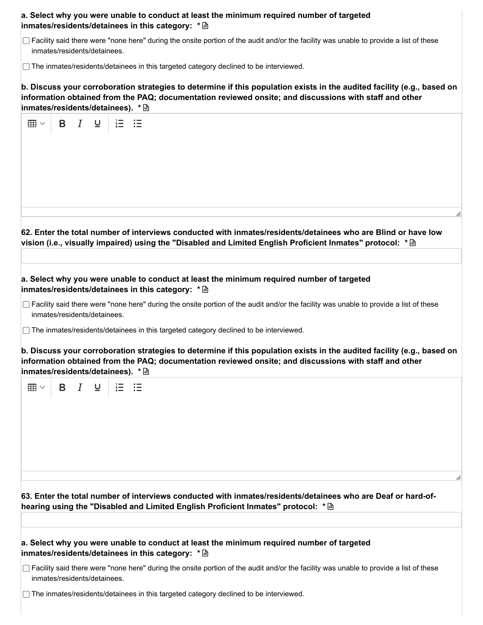| a. Select why you were unable to conduct at least the minimum required number of targeted |
|-------------------------------------------------------------------------------------------|
|                                                                                           |

Facility said there were "none here" during the onsite portion of the audit and/or the facility was unable to provide a list of these inmates/residents/detainees.

□ The inmates/residents/detainees in this targeted category declined to be interviewed.

b. Discuss your corroboration strategies to determine if this population exists in the audited facility (e.g., based on **information obtained from the PAQ; documentation reviewed onsite; and discussions with staff and other inmates/residents/detainees). \***

| <b>B</b> <i>I</i> <b>U</b><br>囲∨  | $\frac{1}{3}$                                                                                                                                  |
|-----------------------------------|------------------------------------------------------------------------------------------------------------------------------------------------|
|                                   |                                                                                                                                                |
|                                   |                                                                                                                                                |
|                                   |                                                                                                                                                |
|                                   |                                                                                                                                                |
|                                   |                                                                                                                                                |
|                                   |                                                                                                                                                |
|                                   |                                                                                                                                                |
|                                   | 62. Enter the total number of interviews conducted with inmates/residents/detainees who are Blind or have low                                  |
|                                   |                                                                                                                                                |
|                                   |                                                                                                                                                |
|                                   | a. Select why you were unable to conduct at least the minimum required number of targeted                                                      |
|                                   | inmates/residents/detainees in this category: * A                                                                                              |
| inmates/residents/detainees.      | □ Facility said there were "none here" during the onsite portion of the audit and/or the facility was unable to provide a list of these        |
|                                   | □ The inmates/residents/detainees in this targeted category declined to be interviewed.                                                        |
|                                   |                                                                                                                                                |
|                                   | b. Discuss your corroboration strategies to determine if this population exists in the audited facility (e.g., based on                        |
| inmates/residents/detainees). * A | information obtained from the PAQ; documentation reviewed onsite; and discussions with staff and other                                         |
|                                   |                                                                                                                                                |
| B I U<br>⊞ ∽                      | $\overline{\mathbf{H}}$<br>证                                                                                                                   |
|                                   |                                                                                                                                                |
|                                   |                                                                                                                                                |
|                                   |                                                                                                                                                |
|                                   |                                                                                                                                                |
|                                   |                                                                                                                                                |
|                                   |                                                                                                                                                |
|                                   | h                                                                                                                                              |
|                                   |                                                                                                                                                |
|                                   | 63. Enter the total number of interviews conducted with inmates/residents/detainees who are Deaf or hard-of-                                   |
|                                   | hearing using the "Disabled and Limited English Proficient Inmates" protocol: * A                                                              |
|                                   |                                                                                                                                                |
|                                   | a. Select why you were unable to conduct at least the minimum required number of targeted<br>inmates/residents/detainees in this category: * A |
|                                   |                                                                                                                                                |
| inmates/residents/detainees.      | □ Facility said there were "none here" during the onsite portion of the audit and/or the facility was unable to provide a list of these        |
|                                   | □ The inmates/residents/detainees in this targeted category declined to be interviewed.                                                        |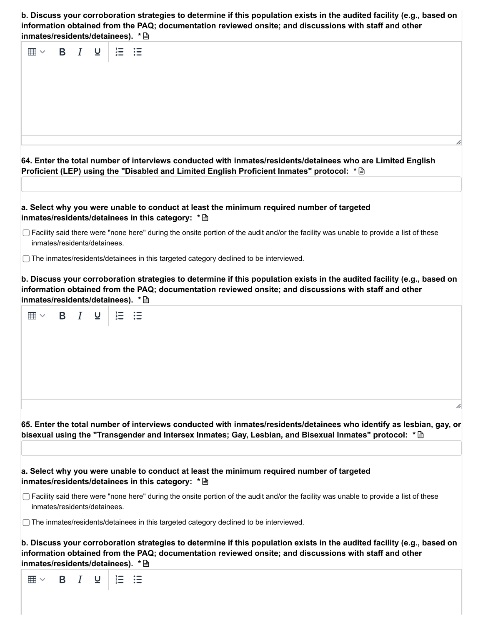| b. Discuss your corroboration strategies to determine if this population exists in the audited facility (e.g., based on |
|-------------------------------------------------------------------------------------------------------------------------|
| information obtained from the PAQ; documentation reviewed onsite; and discussions with staff and other                  |
|                                                                                                                         |

| inmates/residents/detainees). * A                                                                                                                                                                                                                                                             |
|-----------------------------------------------------------------------------------------------------------------------------------------------------------------------------------------------------------------------------------------------------------------------------------------------|
| $\bm{I}$<br>B<br>$\boxplus$ $\checkmark$<br>$\overline{\mathsf{u}}$                                                                                                                                                                                                                           |
| 64. Enter the total number of interviews conducted with inmates/residents/detainees who are Limited English<br>Proficient (LEP) using the "Disabled and Limited English Proficient Inmates" protocol: * A                                                                                     |
| a. Select why you were unable to conduct at least the minimum required number of targeted<br>inmates/residents/detainees in this category: * <a></a>                                                                                                                                          |
| □ Facility said there were "none here" during the onsite portion of the audit and/or the facility was unable to provide a list of these<br>inmates/residents/detainees.                                                                                                                       |
| □ The inmates/residents/detainees in this targeted category declined to be interviewed.                                                                                                                                                                                                       |
| b. Discuss your corroboration strategies to determine if this population exists in the audited facility (e.g., based on<br>information obtained from the PAQ; documentation reviewed onsite; and discussions with staff and other<br>inmates/residents/detainees). * A<br>$B$ $I$<br>這<br>⊞ ▽ |
| 65. Enter the total number of interviews conducted with inmates/residents/detainees who identify as lesbian, gay, or<br>bisexual using the "Transgender and Intersex Inmates; Gay, Lesbian, and Bisexual Inmates" protocol: * A                                                               |
| a. Select why you were unable to conduct at least the minimum required number of targeted<br>inmates/residents/detainees in this category: * A                                                                                                                                                |
| $\Box$ Facility said there were "none here" during the onsite portion of the audit and/or the facility was unable to provide a list of these<br>inmates/residents/detainees.                                                                                                                  |
| $\Box$ The inmates/residents/detainees in this targeted category declined to be interviewed.                                                                                                                                                                                                  |
| b. Discuss your corroboration strategies to determine if this population exists in the audited facility (e.g., based on<br>information obtained from the PAQ; documentation reviewed onsite; and discussions with staff and other<br>inmates/residents/detainees). * A                        |
| 囲∨<br>B<br>$\boldsymbol{I}$<br>עַ<br>狂<br>這                                                                                                                                                                                                                                                   |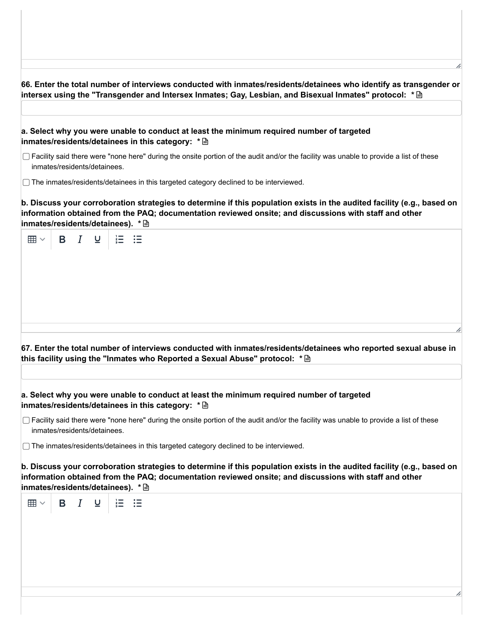**66. Enter the total number of interviews conducted with inmates/residents/detainees who identify as transgender or intersex using the "Transgender and Intersex Inmates; Gay, Lesbian, and Bisexual Inmates" protocol: \* a. Select why you were unable to conduct at least the minimum required number of targeted inmates/residents/detainees in this category: \***  $\Box$  Facility said there were "none here" during the onsite portion of the audit and/or the facility was unable to provide a list of these inmates/residents/detainees. The inmates/residents/detainees in this targeted category declined to be interviewed. b. Discuss your corroboration strategies to determine if this population exists in the audited facility (e.g., based on **information obtained from the PAQ; documentation reviewed onsite; and discussions with staff and other inmates/residents/detainees). \***  $\boxplus$   $\vee$  $B$   $I$ **67. Enter the total number of interviews conducted with inmates/residents/detainees who reported sexual abuse in this facility using the "Inmates who Reported a Sexual Abuse" protocol: \* a. Select why you were unable to conduct at least the minimum required number of targeted inmates/residents/detainees in this category: \***  $\Box$  Facility said there were "none here" during the onsite portion of the audit and/or the facility was unable to provide a list of these inmates/residents/detainees.

 $\Box$  The inmates/residents/detainees in this targeted category declined to be interviewed.

b. Discuss your corroboration strategies to determine if this population exists in the audited facility (e.g., based on **information obtained from the PAQ; documentation reviewed onsite; and discussions with staff and other inmates/residents/detainees). \***

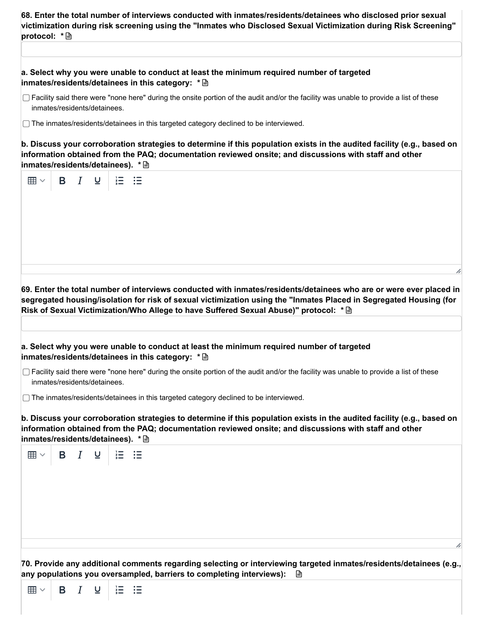| 68. Enter the total number of interviews conducted with inmates/residents/detainees who disclosed prior sexual   |  |
|------------------------------------------------------------------------------------------------------------------|--|
| victimization during risk screening using the "Inmates who Disclosed Sexual Victimization during Risk Screening" |  |
|                                                                                                                  |  |
|                                                                                                                  |  |

| a. Select why you were unable to conduct at least the minimum required number of targeted |  |
|-------------------------------------------------------------------------------------------|--|
| inmates/residents/detainees in this category: * A                                         |  |

 $\Box$  Facility said there were "none here" during the onsite portion of the audit and/or the facility was unable to provide a list of these inmates/residents/detainees.

The inmates/residents/detainees in this targeted category declined to be interviewed.

 $\boxplus$   $\vee$ 

B

 $\overline{I}$ 

 $\overline{a}$ 

 $\equiv$  :=

b. Discuss your corroboration strategies to determine if this population exists in the audited facility (e.g., based on **information obtained from the PAQ; documentation reviewed onsite; and discussions with staff and other inmates/residents/detainees). \***

| 囲 $\sim$                          |                              | $\mathsf{B}$ $I$           | $\underline{U}$ | $\frac{1}{3}$ |                                                                                                                                                                                                                                                                                                                                   |
|-----------------------------------|------------------------------|----------------------------|-----------------|---------------|-----------------------------------------------------------------------------------------------------------------------------------------------------------------------------------------------------------------------------------------------------------------------------------------------------------------------------------|
|                                   |                              |                            |                 |               |                                                                                                                                                                                                                                                                                                                                   |
|                                   |                              |                            |                 |               |                                                                                                                                                                                                                                                                                                                                   |
|                                   |                              |                            |                 |               | 69. Enter the total number of interviews conducted with inmates/residents/detainees who are or were ever placed in<br>segregated housing/isolation for risk of sexual victimization using the "Inmates Placed in Segregated Housing (for<br>Risk of Sexual Victimization/Who Allege to have Suffered Sexual Abuse)" protocol: * A |
|                                   |                              |                            |                 |               |                                                                                                                                                                                                                                                                                                                                   |
|                                   |                              |                            |                 |               | a. Select why you were unable to conduct at least the minimum required number of targeted<br>inmates/residents/detainees in this category: * <a></a>                                                                                                                                                                              |
|                                   | inmates/residents/detainees. |                            |                 |               | □ Facility said there were "none here" during the onsite portion of the audit and/or the facility was unable to provide a list of these                                                                                                                                                                                           |
|                                   |                              |                            |                 |               | □ The inmates/residents/detainees in this targeted category declined to be interviewed.                                                                                                                                                                                                                                           |
| inmates/residents/detainees). * A |                              |                            |                 |               | b. Discuss your corroboration strategies to determine if this population exists in the audited facility (e.g., based on<br>information obtained from the PAQ; documentation reviewed onsite; and discussions with staff and other                                                                                                 |
| $\boxplus$ $\vee$                 |                              | <b>B</b> <i>I</i> <b>U</b> |                 | $\equiv$      | 二三                                                                                                                                                                                                                                                                                                                                |
|                                   |                              |                            |                 |               |                                                                                                                                                                                                                                                                                                                                   |
|                                   |                              |                            |                 |               |                                                                                                                                                                                                                                                                                                                                   |
|                                   |                              |                            |                 |               |                                                                                                                                                                                                                                                                                                                                   |
|                                   |                              |                            |                 |               |                                                                                                                                                                                                                                                                                                                                   |
|                                   |                              |                            |                 |               |                                                                                                                                                                                                                                                                                                                                   |
|                                   |                              |                            |                 |               | 70. Provide any additional comments regarding selecting or interviewing targeted inmates/residents/detainees (e.g.,<br>any populations you oversampled, barriers to completing interviews):<br>₿                                                                                                                                  |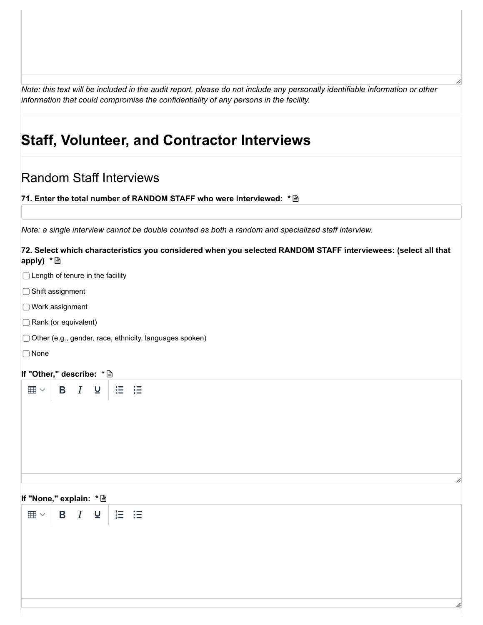Note: this text will be included in the audit report, please do not include any personally identifiable information or other *information that could compromise the confidentiality of any persons in the facility.*

# **Staff, Volunteer, and Contractor Interviews**

### Random Staff Interviews

**71. Enter the total number of RANDOM STAFF who were interviewed: \***

*Note: a single interview cannot be double counted as both a random and specialized staff interview.*

#### **72. Select which characteristics you considered when you selected RANDOM STAFF interviewees: (select all that apply) \***

|  |  |  |  |  |  | $\Box$ Length of tenure in the facility |
|--|--|--|--|--|--|-----------------------------------------|
|--|--|--|--|--|--|-----------------------------------------|

- □ Shift assignment
- Work assignment
- □ Rank (or equivalent)
- Other (e.g., gender, race, ethnicity, languages spoken)
- None

#### **If "Other," describe: \***

| ⊞ | B. |  |  | ;≔ |  |  |
|---|----|--|--|----|--|--|
|---|----|--|--|----|--|--|

#### **If "None," explain: \***

 $\equiv$  := 囲∨  $\mathsf B$  $\underline{\mathsf{U}}$  $\boldsymbol{I}$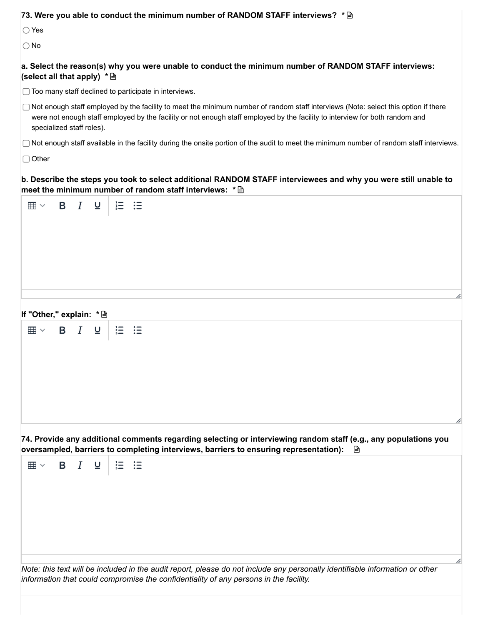| 73. Were you able to conduct the minimum number of RANDOM STAFF interviews? * A                                                                                                                                                                                                                   |
|---------------------------------------------------------------------------------------------------------------------------------------------------------------------------------------------------------------------------------------------------------------------------------------------------|
| $\bigcirc$ Yes                                                                                                                                                                                                                                                                                    |
| $\bigcirc$ No                                                                                                                                                                                                                                                                                     |
| a. Select the reason(s) why you were unable to conduct the minimum number of RANDOM STAFF interviews:<br>(select all that apply) $* \triangleq$                                                                                                                                                   |
| $\Box$ Too many staff declined to participate in interviews.                                                                                                                                                                                                                                      |
| □ Not enough staff employed by the facility to meet the minimum number of random staff interviews (Note: select this option if there<br>were not enough staff employed by the facility or not enough staff employed by the facility to interview for both random and<br>specialized staff roles). |
| □ Not enough staff available in the facility during the onsite portion of the audit to meet the minimum number of random staff interviews.                                                                                                                                                        |
| $\Box$ Other                                                                                                                                                                                                                                                                                      |
| b. Describe the steps you took to select additional RANDOM STAFF interviewees and why you were still unable to<br>meet the minimum number of random staff interviews: * <a></a>                                                                                                                   |
| B <i>I</i> ⊍<br>$\equiv$ $\equiv$<br>囲∨                                                                                                                                                                                                                                                           |
|                                                                                                                                                                                                                                                                                                   |
|                                                                                                                                                                                                                                                                                                   |
|                                                                                                                                                                                                                                                                                                   |
|                                                                                                                                                                                                                                                                                                   |
|                                                                                                                                                                                                                                                                                                   |
| h                                                                                                                                                                                                                                                                                                 |
|                                                                                                                                                                                                                                                                                                   |
| If "Other," explain: * A                                                                                                                                                                                                                                                                          |
| $\stackrel{?}{=}$<br>$\mathsf{B}$ $I$<br>$\overline{\mathsf{C}}$<br>這<br>囲∨                                                                                                                                                                                                                       |
|                                                                                                                                                                                                                                                                                                   |
|                                                                                                                                                                                                                                                                                                   |
|                                                                                                                                                                                                                                                                                                   |
|                                                                                                                                                                                                                                                                                                   |
|                                                                                                                                                                                                                                                                                                   |
|                                                                                                                                                                                                                                                                                                   |
| 74. Provide any additional comments regarding selecting or interviewing random staff (e.g., any populations you<br>oversampled, barriers to completing interviews, barriers to ensuring representation):<br>⊫                                                                                     |
| $I$ $\mathsf{u}$<br>【三】:三<br>Β<br>囲∨                                                                                                                                                                                                                                                              |
|                                                                                                                                                                                                                                                                                                   |
|                                                                                                                                                                                                                                                                                                   |
|                                                                                                                                                                                                                                                                                                   |
|                                                                                                                                                                                                                                                                                                   |
|                                                                                                                                                                                                                                                                                                   |
|                                                                                                                                                                                                                                                                                                   |
| h                                                                                                                                                                                                                                                                                                 |
| Note: this text will be included in the audit report, please do not include any personally identifiable information or other<br>information that could compromise the confidentiality of any persons in the facility.                                                                             |
|                                                                                                                                                                                                                                                                                                   |
|                                                                                                                                                                                                                                                                                                   |
|                                                                                                                                                                                                                                                                                                   |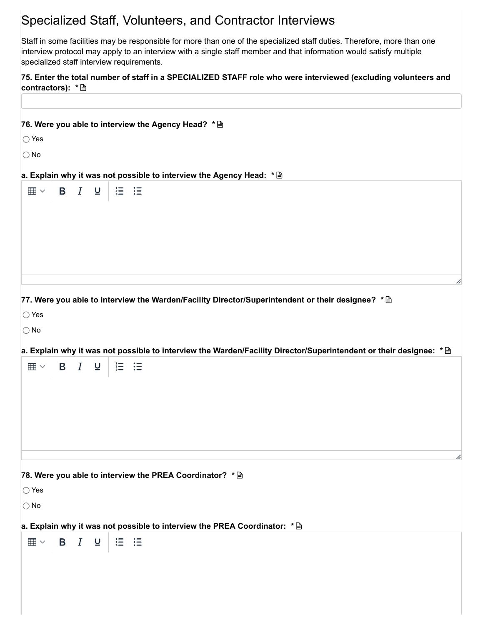### Specialized Staff, Volunteers, and Contractor Interviews

Staff in some facilities may be responsible for more than one of the specialized staff duties. Therefore, more than one interview protocol may apply to an interview with a single staff member and that information would satisfy multiple specialized staff interview requirements.

75. Enter the total number of staff in a SPECIALIZED STAFF role who were interviewed (excluding volunteers and **contractors): \***

|                         |                     |              |                   | 76. Were you able to interview the Agency Head? * <                                                                |  |  |  |  |  |   |
|-------------------------|---------------------|--------------|-------------------|--------------------------------------------------------------------------------------------------------------------|--|--|--|--|--|---|
| $\bigcirc$ Yes          |                     |              |                   |                                                                                                                    |  |  |  |  |  |   |
| $\bigcirc$ No           |                     |              |                   |                                                                                                                    |  |  |  |  |  |   |
|                         |                     |              |                   | a. Explain why it was not possible to interview the Agency Head: * <                                               |  |  |  |  |  |   |
| $\boxplus$ $\checkmark$ | <b>B</b> <i>I</i> ⊎ |              | $\equiv$ $\equiv$ |                                                                                                                    |  |  |  |  |  |   |
|                         |                     |              |                   |                                                                                                                    |  |  |  |  |  |   |
|                         |                     |              |                   |                                                                                                                    |  |  |  |  |  |   |
|                         |                     |              |                   |                                                                                                                    |  |  |  |  |  |   |
|                         |                     |              |                   |                                                                                                                    |  |  |  |  |  |   |
|                         |                     |              |                   |                                                                                                                    |  |  |  |  |  | h |
|                         |                     |              |                   | 77. Were you able to interview the Warden/Facility Director/Superintendent or their designee? * <                  |  |  |  |  |  |   |
| $\bigcirc$ Yes          |                     |              |                   |                                                                                                                    |  |  |  |  |  |   |
| $\bigcirc$ No           |                     |              |                   |                                                                                                                    |  |  |  |  |  |   |
|                         |                     |              |                   | a. Explain why it was not possible to interview the Warden/Facility Director/Superintendent or their designee: * < |  |  |  |  |  |   |
| $\boxplus$ $\vee$       | B $I$ $Q$           |              |                   | 這 這                                                                                                                |  |  |  |  |  |   |
|                         |                     |              |                   |                                                                                                                    |  |  |  |  |  |   |
|                         |                     |              |                   |                                                                                                                    |  |  |  |  |  |   |
|                         |                     |              |                   |                                                                                                                    |  |  |  |  |  |   |
|                         |                     |              |                   |                                                                                                                    |  |  |  |  |  |   |
|                         |                     |              |                   |                                                                                                                    |  |  |  |  |  | h |
|                         |                     |              |                   | 78. Were you able to interview the PREA Coordinator? * <                                                           |  |  |  |  |  |   |
| $\bigcirc$ Yes          |                     |              |                   |                                                                                                                    |  |  |  |  |  |   |
| $\bigcirc$ No           |                     |              |                   |                                                                                                                    |  |  |  |  |  |   |
|                         |                     |              |                   | a. Explain why it was not possible to interview the PREA Coordinator: * <a></a>                                    |  |  |  |  |  |   |
| $\boxplus$ $\vee$       | $\mathsf{B}$ $I$    | $\mathbf{u}$ | $\equiv$          | 這                                                                                                                  |  |  |  |  |  |   |
|                         |                     |              |                   |                                                                                                                    |  |  |  |  |  |   |
|                         |                     |              |                   |                                                                                                                    |  |  |  |  |  |   |
|                         |                     |              |                   |                                                                                                                    |  |  |  |  |  |   |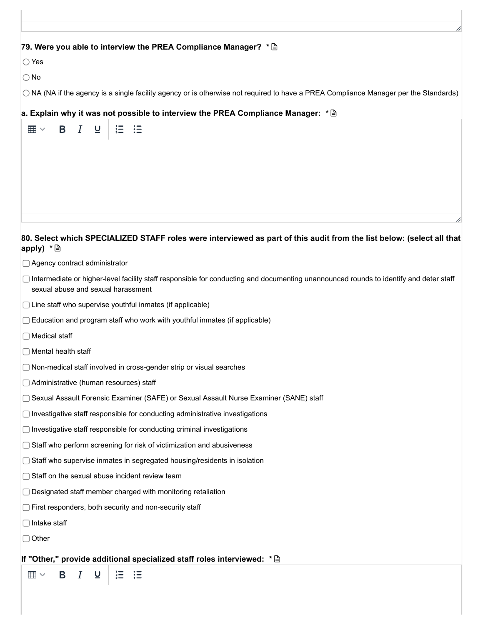#### **79. Were you able to interview the PREA Compliance Manager? \***

 $\bigcirc$  Yes

 $\bigcirc$  No

NA (NA if the agency is a single facility agency or is otherwise not required to have a PREA Compliance Manager per the Standards)

#### **a. Explain why it was not possible to interview the PREA Compliance Manager: \***

| В<br>Ι<br>$\underline{\mathsf{u}}$<br>$\boxplus$ $\checkmark$<br>≔                                                                                                          |
|-----------------------------------------------------------------------------------------------------------------------------------------------------------------------------|
|                                                                                                                                                                             |
|                                                                                                                                                                             |
|                                                                                                                                                                             |
|                                                                                                                                                                             |
|                                                                                                                                                                             |
|                                                                                                                                                                             |
| 80. Select which SPECIALIZED STAFF roles were interviewed as part of this audit from the list below: (select all that<br>apply) $*$ $\Box$                                  |
| □ Agency contract administrator                                                                                                                                             |
| Intermediate or higher-level facility staff responsible for conducting and documenting unannounced rounds to identify and deter staff<br>sexual abuse and sexual harassment |
| $\Box$ Line staff who supervise youthful inmates (if applicable)                                                                                                            |
| $\Box$ Education and program staff who work with youthful inmates (if applicable)                                                                                           |
| $\Box$ Medical staff                                                                                                                                                        |
| $\Box$ Mental health staff                                                                                                                                                  |
| $\Box$ Non-medical staff involved in cross-gender strip or visual searches                                                                                                  |
| □ Administrative (human resources) staff                                                                                                                                    |
| ◯ Sexual Assault Forensic Examiner (SAFE) or Sexual Assault Nurse Examiner (SANE) staff                                                                                     |
| $\Box$ Investigative staff responsible for conducting administrative investigations                                                                                         |
| $\Box$ Investigative staff responsible for conducting criminal investigations                                                                                               |
| Staff who perform screening for risk of victimization and abusiveness                                                                                                       |
| $\Box$ Staff who supervise inmates in segregated housing/residents in isolation                                                                                             |
| Staff on the sexual abuse incident review team                                                                                                                              |
| $\Box$ Designated staff member charged with monitoring retaliation                                                                                                          |
| First responders, both security and non-security staff                                                                                                                      |
| $\Box$ Intake staff                                                                                                                                                         |
| $\Box$ Other                                                                                                                                                                |
| If "Other," provide additional specialized staff roles interviewed: * A                                                                                                     |
| $\boxplus$ $\checkmark$<br>$\underline{\mathsf{u}}$<br>這<br>В<br>$\boldsymbol{I}$<br>這                                                                                      |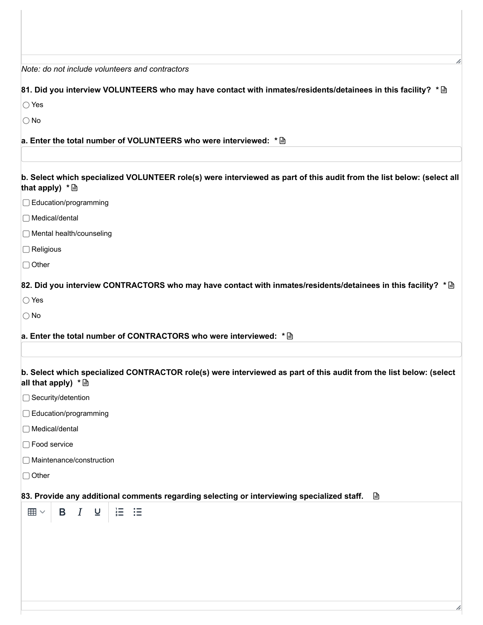| Note: do not include volunteers and contractors                                                                                                       |
|-------------------------------------------------------------------------------------------------------------------------------------------------------|
| 81. Did you interview VOLUNTEERS who may have contact with inmates/residents/detainees in this facility? * A                                          |
| $\bigcirc$ Yes                                                                                                                                        |
| $\bigcirc$ No                                                                                                                                         |
| a. Enter the total number of VOLUNTEERS who were interviewed: * <a></a>                                                                               |
|                                                                                                                                                       |
| b. Select which specialized VOLUNTEER role(s) were interviewed as part of this audit from the list below: (select all<br>that apply) $*$ $\triangleq$ |
| □ Education/programming                                                                                                                               |
| $\Box$ Medical/dental                                                                                                                                 |
| □ Mental health/counseling                                                                                                                            |
| $\Box$ Religious                                                                                                                                      |
| $\Box$ Other                                                                                                                                          |
| 82. Did you interview CONTRACTORS who may have contact with inmates/residents/detainees in this facility? * A                                         |
| $\bigcirc$ Yes                                                                                                                                        |
| $\bigcirc$ No                                                                                                                                         |
| a. Enter the total number of CONTRACTORS who were interviewed: * <a></a>                                                                              |
| b. Select which specialized CONTRACTOR role(s) were interviewed as part of this audit from the list below: (select<br>all that apply) $* \triangleq$  |
| □ Security/detention                                                                                                                                  |
| □ Education/programming                                                                                                                               |
| □ Medical/dental                                                                                                                                      |
| □ Food service                                                                                                                                        |
| □ Maintenance/construction                                                                                                                            |
| $\Box$ Other                                                                                                                                          |
| 83. Provide any additional comments regarding selecting or interviewing specialized staff.<br>₿                                                       |
| 這 這<br>$I$ $\cup$<br>$\boxplus$ $\checkmark$<br>Β                                                                                                     |
|                                                                                                                                                       |
|                                                                                                                                                       |
|                                                                                                                                                       |
|                                                                                                                                                       |
|                                                                                                                                                       |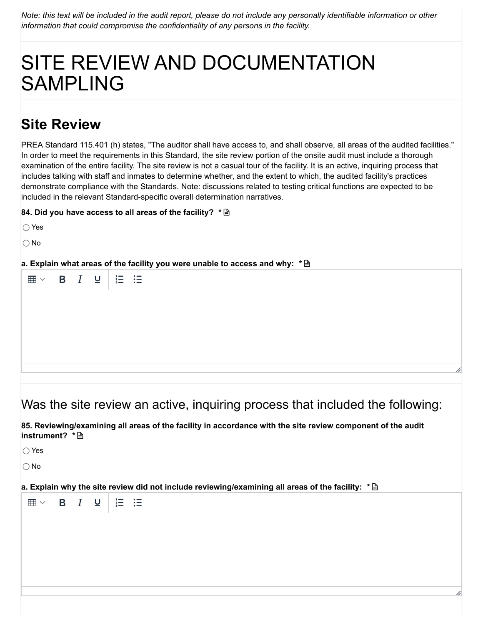Note: this text will be included in the audit report, please do not include any personally identifiable information or other *information that could compromise the confidentiality of any persons in the facility.*

# SITE REVIEW AND DOCUMENTATION SAMPLING

# **Site Review**

PREA Standard 115.401 (h) states, "The auditor shall have access to, and shall observe, all areas of the audited facilities." In order to meet the requirements in this Standard, the site review portion of the onsite audit must include a thorough examination of the entire facility. The site review is not a casual tour of the facility. It is an active, inquiring process that includes talking with staff and inmates to determine whether, and the extent to which, the audited facility's practices demonstrate compliance with the Standards. Note: discussions related to testing critical functions are expected to be included in the relevant Standard-specific overall determination narratives.

**84. Did you have access to all areas of the facility? \***

| $\bigcirc$ Yes             |  |       |                                                                                                             |  |
|----------------------------|--|-------|-------------------------------------------------------------------------------------------------------------|--|
| $\bigcirc$ No              |  |       |                                                                                                             |  |
|                            |  |       | a. Explain what areas of the facility you were unable to access and why: $* \mathbb{B}$                     |  |
| $\boxplus \vee$   B $I$ U  |  | 【三】:三 |                                                                                                             |  |
|                            |  |       |                                                                                                             |  |
|                            |  |       |                                                                                                             |  |
|                            |  |       |                                                                                                             |  |
|                            |  |       |                                                                                                             |  |
|                            |  |       |                                                                                                             |  |
|                            |  |       |                                                                                                             |  |
|                            |  |       | Was the site review an active, inquiring process that included the following:                               |  |
| instrument? $* \mathsf{B}$ |  |       | 85. Reviewing/examining all areas of the facility in accordance with the site review component of the audit |  |

◯ Yes

No

**a. Explain why the site review did not include reviewing/examining all areas of the facility: \***

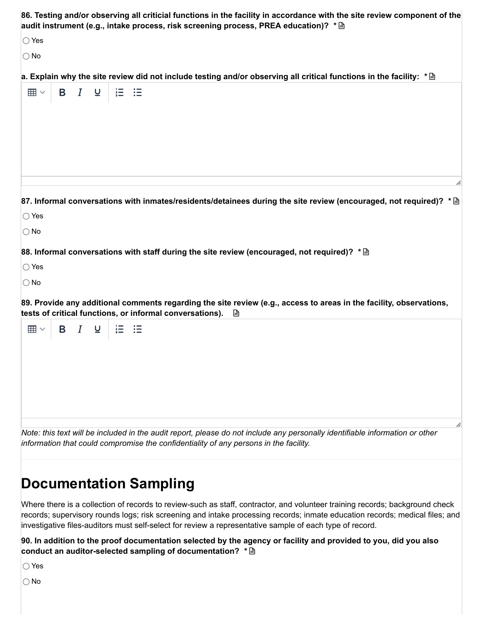| 86. Testing and/or observing all criticial functions in the facility in accordance with the site review component of the<br>audit instrument (e.g., intake process, risk screening process, PREA education)? * A           |
|----------------------------------------------------------------------------------------------------------------------------------------------------------------------------------------------------------------------------|
| $\bigcirc$ Yes                                                                                                                                                                                                             |
| $\bigcirc$ No                                                                                                                                                                                                              |
| a. Explain why the site review did not include testing and/or observing all critical functions in the facility: $* \mathbin{\triangle}$                                                                                    |
| <b>B</b> / 旦<br>$\equiv$ $\equiv$<br>$\boxplus$ $\vee$                                                                                                                                                                     |
| h<br>87. Informal conversations with inmates/residents/detainees during the site review (encouraged, not required)? * A<br>$\bigcirc$ Yes<br>$\bigcirc$ No                                                                 |
| 88. Informal conversations with staff during the site review (encouraged, not required)? * A                                                                                                                               |
| $\bigcirc$ Yes                                                                                                                                                                                                             |
| $\bigcirc$ No                                                                                                                                                                                                              |
| 89. Provide any additional comments regarding the site review (e.g., access to areas in the facility, observations,<br>tests of critical functions, or informal conversations).<br>B                                       |
| B <i>I</i> ⊍<br>$\stackrel{?}{=}$<br>$\boxplus$ $\vee$<br>三                                                                                                                                                                |
| h<br>Note: this text will be included in the audit report, please do not include any personally identifiable information or other<br>information that could compromise the confidentiality of any persons in the facility. |

# **Documentation Sampling**

Where there is a collection of records to review-such as staff, contractor, and volunteer training records; background check records; supervisory rounds logs; risk screening and intake processing records; inmate education records; medical files; and investigative files-auditors must self-select for review a representative sample of each type of record.

90. In addition to the proof documentation selected by the agency or facility and provided to you, did you also **conduct an auditor-selected sampling of documentation? \***

Yes

No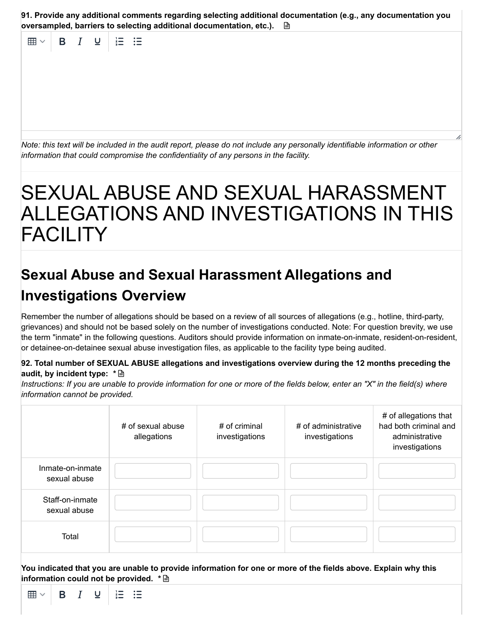| 91. Provide any additional comments regarding selecting additional documentation (e.g., any documentation you |  |
|---------------------------------------------------------------------------------------------------------------|--|
| oversampled, barriers to selecting additional documentation, etc.). <b>圖</b>                                  |  |

 $\overline{I}$  $\cup$  $\frac{1}{2}$ 用 B. 三三 Note: this text will be included in the audit report, please do not include any personally identifiable information or other *information that could compromise the confidentiality of any persons in the facility.*

# SEXUAL ABUSE AND SEXUAL HARASSMENT ALLEGATIONS AND INVESTIGATIONS IN THIS FACILITY

# **Sexual Abuse and Sexual Harassment Allegations and Investigations Overview**

Remember the number of allegations should be based on a review of all sources of allegations (e.g., hotline, third-party, grievances) and should not be based solely on the number of investigations conducted. Note: For question brevity, we use the term "inmate" in the following questions. Auditors should provide information on inmate-on-inmate, resident-on-resident, or detainee-on-detainee sexual abuse investigation files, as applicable to the facility type being audited.

#### **92. Total number of SEXUAL ABUSE allegations and investigations overview during the 12 months preceding the audit, by incident type: \***

Instructions: If you are unable to provide information for one or more of the fields below, enter an "X" in the field(s) where *information cannot be provided.*

|                                  | # of sexual abuse<br>allegations | # of criminal<br>investigations | # of administrative<br>investigations | # of allegations that<br>had both criminal and<br>administrative<br>investigations |
|----------------------------------|----------------------------------|---------------------------------|---------------------------------------|------------------------------------------------------------------------------------|
| Inmate-on-inmate<br>sexual abuse |                                  |                                 |                                       |                                                                                    |
| Staff-on-inmate<br>sexual abuse  |                                  |                                 |                                       |                                                                                    |
| Total                            |                                  |                                 |                                       |                                                                                    |

You indicated that you are unable to provide information for one or more of the fields above. Explain why this **information could not be provided. \***

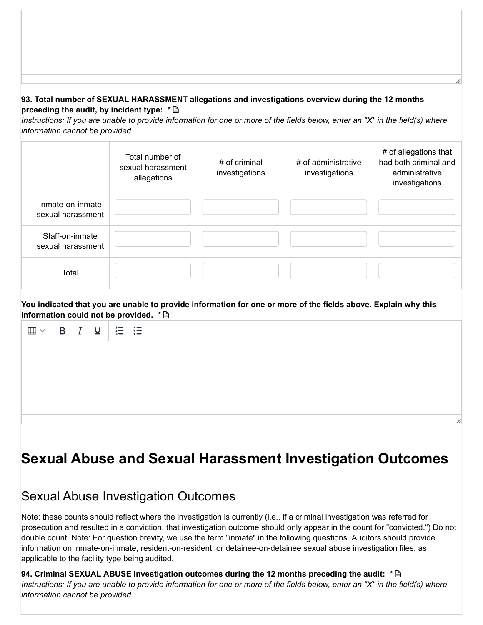#### **93. Total number of SEXUAL HARASSMENT allegations and investigations overview during the 12 months prceeding the audit, by incident type: \***

Instructions: If you are unable to provide information for one or more of the fields below, enter an "X" in the field(s) where *information cannot be provided.*

|                                       | Total number of<br>sexual harassment<br>allegations | # of criminal<br>investigations | # of administrative<br>investigations | # of allegations that<br>had both criminal and<br>administrative<br>investigations |
|---------------------------------------|-----------------------------------------------------|---------------------------------|---------------------------------------|------------------------------------------------------------------------------------|
| Inmate-on-inmate<br>sexual harassment |                                                     |                                 |                                       |                                                                                    |
| Staff-on-inmate<br>sexual harassment  |                                                     |                                 |                                       |                                                                                    |
| Total                                 |                                                     |                                 |                                       |                                                                                    |

You indicated that you are unable to provide information for one or more of the fields above. Explain why this **information could not be provided. \***



# **Sexual Abuse and Sexual Harassment Investigation Outcomes**

### Sexual Abuse Investigation Outcomes

Note: these counts should reflect where the investigation is currently (i.e., if a criminal investigation was referred for prosecution and resulted in a conviction, that investigation outcome should only appear in the count for "convicted.") Do not double count. Note: For question brevity, we use the term "inmate" in the following questions. Auditors should provide information on inmate-on-inmate, resident-on-resident, or detainee-on-detainee sexual abuse investigation files, as applicable to the facility type being audited.

**94. Criminal SEXUAL ABUSE investigation outcomes during the 12 months preceding the audit: \***Instructions: If you are unable to provide information for one or more of the fields below, enter an "X" in the field(s) where *information cannot be provided.*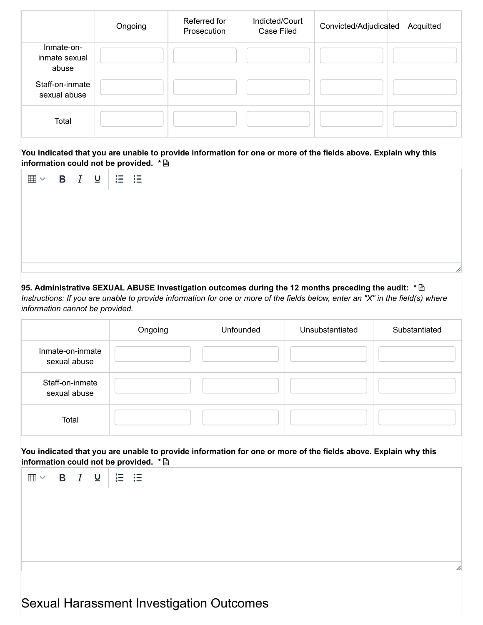|                                      | Ongoing | Referred for<br>Prosecution | Indicted/Court<br>Case Filed | Convicted/Adjudicated<br>Acquitted |
|--------------------------------------|---------|-----------------------------|------------------------------|------------------------------------|
| Inmate-on-<br>inmate sexual<br>abuse |         |                             |                              |                                    |
| Staff-on-inmate<br>sexual abuse      |         |                             |                              |                                    |
| Total                                |         |                             |                              |                                    |

You indicated that you are unable to provide information for one or more of the fields above. Explain why this **information could not be provided. \***

|  |  | . . |  |  |  |  |  |  |
|--|--|-----|--|--|--|--|--|--|
|  |  |     |  |  |  |  |  |  |
|  |  |     |  |  |  |  |  |  |
|  |  |     |  |  |  |  |  |  |
|  |  |     |  |  |  |  |  |  |
|  |  |     |  |  |  |  |  |  |
|  |  |     |  |  |  |  |  |  |
|  |  |     |  |  |  |  |  |  |
|  |  |     |  |  |  |  |  |  |
|  |  |     |  |  |  |  |  |  |

#### **95. Administrative SEXUAL ABUSE investigation outcomes during the 12 months preceding the audit: \***

Instructions: If you are unable to provide information for one or more of the fields below, enter an "X" in the field(s) where *information cannot be provided.*

|                                  | Ongoing | Unfounded | Unsubstantiated | Substantiated |
|----------------------------------|---------|-----------|-----------------|---------------|
| Inmate-on-inmate<br>sexual abuse |         |           |                 |               |
| Staff-on-inmate<br>sexual abuse  |         |           |                 |               |
| Total                            |         |           |                 |               |

You indicated that you are unable to provide information for one or more of the fields above. Explain why this **information could not be provided. \***

| $\Box$ $\Box$ $\Box$ $\Box$ $\Box$ $\Box$ |  |  | $\equiv$                                        |   |
|-------------------------------------------|--|--|-------------------------------------------------|---|
|                                           |  |  |                                                 |   |
|                                           |  |  |                                                 |   |
|                                           |  |  |                                                 |   |
|                                           |  |  |                                                 |   |
|                                           |  |  |                                                 |   |
|                                           |  |  |                                                 | h |
|                                           |  |  |                                                 |   |
|                                           |  |  |                                                 |   |
|                                           |  |  | <b>Sexual Harassment Investigation Outcomes</b> |   |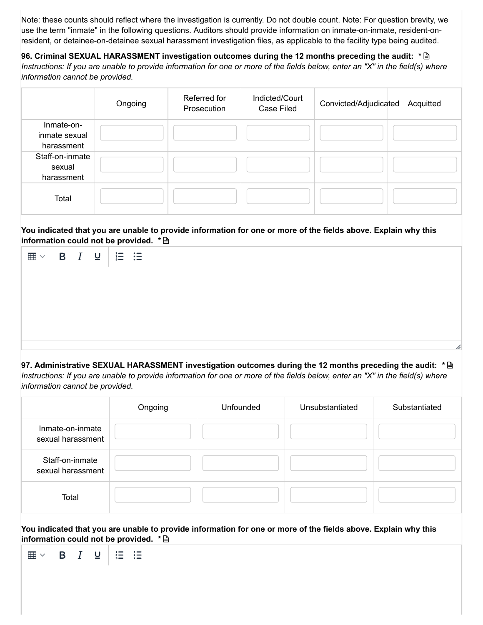Note: these counts should reflect where the investigation is currently. Do not double count. Note: For question brevity, we use the term "inmate" in the following questions. Auditors should provide information on inmate-on-inmate, resident-onresident, or detainee-on-detainee sexual harassment investigation files, as applicable to the facility type being audited.

**96. Criminal SEXUAL HARASSMENT investigation outcomes during the 12 months preceding the audit: \*** Instructions: If you are unable to provide information for one or more of the fields below, enter an "X" in the field(s) where *information cannot be provided.*

|                                           | Ongoing | Referred for<br>Prosecution | Indicted/Court<br><b>Case Filed</b> | Convicted/Adjudicated<br>Acquitted |
|-------------------------------------------|---------|-----------------------------|-------------------------------------|------------------------------------|
| Inmate-on-<br>inmate sexual<br>harassment |         |                             |                                     |                                    |
| Staff-on-inmate<br>sexual<br>harassment   |         |                             |                                     |                                    |
| Total                                     |         |                             |                                     |                                    |

#### You indicated that you are unable to provide information for one or more of the fields above. Explain why this **information could not be provided. \***

| $\boxplus$ $\vee$ |  | $B \quad I \quad \underline{\cup} \quad \underline{\vdots} \quad \underline{\vdots}$ |  |  |  |  |
|-------------------|--|--------------------------------------------------------------------------------------|--|--|--|--|
|                   |  |                                                                                      |  |  |  |  |
|                   |  |                                                                                      |  |  |  |  |
|                   |  |                                                                                      |  |  |  |  |
|                   |  |                                                                                      |  |  |  |  |
|                   |  |                                                                                      |  |  |  |  |
|                   |  |                                                                                      |  |  |  |  |

**97. Administrative SEXUAL HARASSMENT investigation outcomes during the 12 months preceding the audit: \*** Instructions: If you are unable to provide information for one or more of the fields below, enter an "X" in the field(s) where *information cannot be provided.*

|                                       | Ongoing | Unfounded | Unsubstantiated | Substantiated |
|---------------------------------------|---------|-----------|-----------------|---------------|
| Inmate-on-inmate<br>sexual harassment |         |           |                 |               |
| Staff-on-inmate<br>sexual harassment  |         |           |                 |               |
| Total                                 |         |           |                 |               |

You indicated that you are unable to provide information for one or more of the fields above. Explain why this **information could not be provided. \***

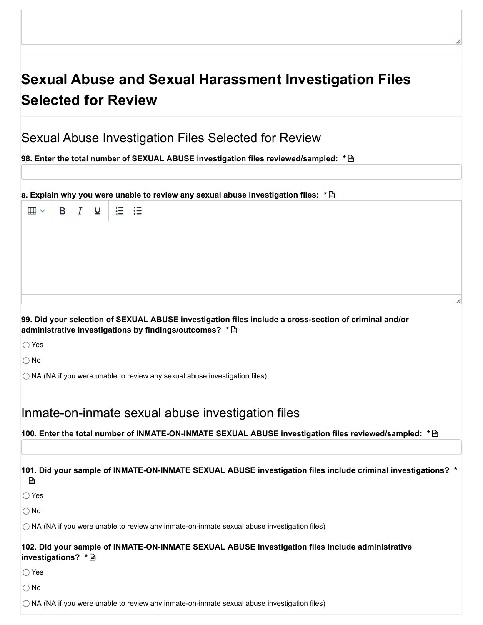# **Sexual Abuse and Sexual Harassment Investigation Files Selected for Review**

| Sexual Abuse Investigation Files Selected for Review |
|------------------------------------------------------|
|------------------------------------------------------|

**98. Enter the total number of SEXUAL ABUSE investigation files reviewed/sampled: \***

**a. Explain why you were unable to review any sexual abuse investigation files: \***

囲、  $B$   $I$  $\underline{U}$ 狂 狂

#### **99. Did your selection of SEXUAL ABUSE investigation files include a cross-section of criminal and/or administrative investigations by findings/outcomes? \***

Yes

No

 $\bigcirc$  NA (NA if you were unable to review any sexual abuse investigation files)

Inmate-on-inmate sexual abuse investigation files

**100. Enter the total number of INMATE-ON-INMATE SEXUAL ABUSE investigation files reviewed/sampled: \***

**101. Did your sample of INMATE-ON-INMATE SEXUAL ABUSE investigation files include criminal investigations? \*** 日

◯ Yes

 $\bigcap$  No

 $\bigcirc$  NA (NA if you were unable to review any inmate-on-inmate sexual abuse investigation files)

#### **102. Did your sample of INMATE-ON-INMATE SEXUAL ABUSE investigation files include administrative investigations? \***

∩ Yes

 $\bigcap$  No

 $\bigcirc$  NA (NA if you were unable to review any inmate-on-inmate sexual abuse investigation files)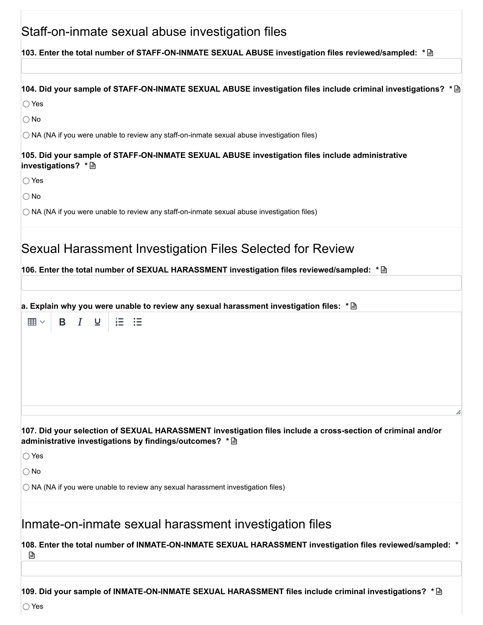| Staff-on-inmate sexual abuse investigation files<br>104. Did your sample of STAFF-ON-INMATE SEXUAL ABUSE investigation files include criminal investigations? *<br>$\bigcirc$ Yes<br>$\bigcirc$ No<br>$\bigcirc$ NA (NA if you were unable to review any staff-on-inmate sexual abuse investigation files)<br>105. Did your sample of STAFF-ON-INMATE SEXUAL ABUSE investigation files include administrative<br>investigations? * A<br>$\bigcirc$ Yes<br>$\bigcirc$ No<br>$\bigcirc$ NA (NA if you were unable to review any staff-on-inmate sexual abuse investigation files)<br>106. Enter the total number of SEXUAL HARASSMENT investigation files reviewed/sampled: * A<br>狂 狂<br>B I U<br>$\boxplus$ $\vee$<br>$\bigcirc$ Yes<br>$\bigcirc$ No<br>$\bigcirc$ NA (NA if you were unable to review any sexual harassment investigation files)<br>Inmate-on-inmate sexual harassment investigation files<br>108. Enter the total number of INMATE-ON-INMATE SEXUAL HARASSMENT investigation files reviewed/sampled: *<br>₿ |
|--------------------------------------------------------------------------------------------------------------------------------------------------------------------------------------------------------------------------------------------------------------------------------------------------------------------------------------------------------------------------------------------------------------------------------------------------------------------------------------------------------------------------------------------------------------------------------------------------------------------------------------------------------------------------------------------------------------------------------------------------------------------------------------------------------------------------------------------------------------------------------------------------------------------------------------------------------------------------------------------------------------------------------|
|                                                                                                                                                                                                                                                                                                                                                                                                                                                                                                                                                                                                                                                                                                                                                                                                                                                                                                                                                                                                                                |
|                                                                                                                                                                                                                                                                                                                                                                                                                                                                                                                                                                                                                                                                                                                                                                                                                                                                                                                                                                                                                                |
|                                                                                                                                                                                                                                                                                                                                                                                                                                                                                                                                                                                                                                                                                                                                                                                                                                                                                                                                                                                                                                |
|                                                                                                                                                                                                                                                                                                                                                                                                                                                                                                                                                                                                                                                                                                                                                                                                                                                                                                                                                                                                                                |
|                                                                                                                                                                                                                                                                                                                                                                                                                                                                                                                                                                                                                                                                                                                                                                                                                                                                                                                                                                                                                                |
|                                                                                                                                                                                                                                                                                                                                                                                                                                                                                                                                                                                                                                                                                                                                                                                                                                                                                                                                                                                                                                |
|                                                                                                                                                                                                                                                                                                                                                                                                                                                                                                                                                                                                                                                                                                                                                                                                                                                                                                                                                                                                                                |
|                                                                                                                                                                                                                                                                                                                                                                                                                                                                                                                                                                                                                                                                                                                                                                                                                                                                                                                                                                                                                                |
|                                                                                                                                                                                                                                                                                                                                                                                                                                                                                                                                                                                                                                                                                                                                                                                                                                                                                                                                                                                                                                |
| Sexual Harassment Investigation Files Selected for Review                                                                                                                                                                                                                                                                                                                                                                                                                                                                                                                                                                                                                                                                                                                                                                                                                                                                                                                                                                      |
|                                                                                                                                                                                                                                                                                                                                                                                                                                                                                                                                                                                                                                                                                                                                                                                                                                                                                                                                                                                                                                |
|                                                                                                                                                                                                                                                                                                                                                                                                                                                                                                                                                                                                                                                                                                                                                                                                                                                                                                                                                                                                                                |
| a. Explain why you were unable to review any sexual harassment investigation files: $* \mathbb{B}$                                                                                                                                                                                                                                                                                                                                                                                                                                                                                                                                                                                                                                                                                                                                                                                                                                                                                                                             |
|                                                                                                                                                                                                                                                                                                                                                                                                                                                                                                                                                                                                                                                                                                                                                                                                                                                                                                                                                                                                                                |
| 107. Did your selection of SEXUAL HARASSMENT investigation files include a cross-section of criminal and/or<br>administrative investigations by findings/outcomes? * <a></a>                                                                                                                                                                                                                                                                                                                                                                                                                                                                                                                                                                                                                                                                                                                                                                                                                                                   |
|                                                                                                                                                                                                                                                                                                                                                                                                                                                                                                                                                                                                                                                                                                                                                                                                                                                                                                                                                                                                                                |
|                                                                                                                                                                                                                                                                                                                                                                                                                                                                                                                                                                                                                                                                                                                                                                                                                                                                                                                                                                                                                                |
|                                                                                                                                                                                                                                                                                                                                                                                                                                                                                                                                                                                                                                                                                                                                                                                                                                                                                                                                                                                                                                |
| 109. Did your sample of INMATE-ON-INMATE SEXUAL HARASSMENT files include criminal investigations? ${}^* \mathop{\boxplus}$                                                                                                                                                                                                                                                                                                                                                                                                                                                                                                                                                                                                                                                                                                                                                                                                                                                                                                     |

ſ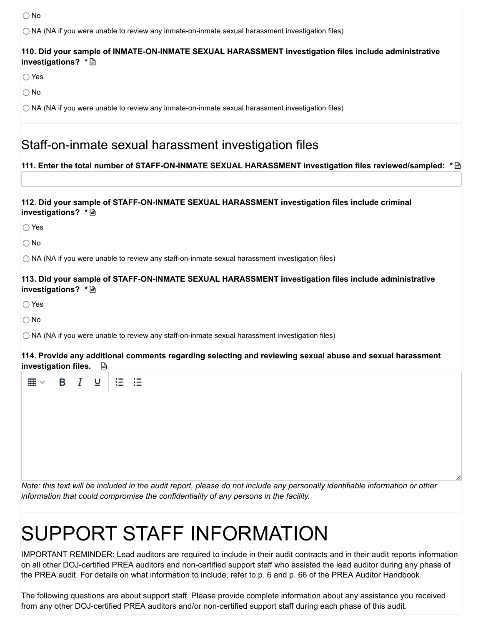○ No

 $\bigcirc$  NA (NA if you were unable to review any inmate-on-inmate sexual harassment investigation files)

#### **110. Did your sample of INMATE-ON-INMATE SEXUAL HARASSMENT investigation files include administrative investigations? \***

Yes

 $\bigcap$  No

 $\bigcirc$  NA (NA if you were unable to review any inmate-on-inmate sexual harassment investigation files)

### Staff-on-inmate sexual harassment investigation files

#### **111. Enter the total number of STAFF-ON-INMATE SEXUAL HARASSMENT investigation files reviewed/sampled: \***

#### **112. Did your sample of STAFF-ON-INMATE SEXUAL HARASSMENT investigation files include criminal investigations? \***

◯ Yes

 $\bigcap$  No

 $\bigcirc$  NA (NA if you were unable to review any staff-on-inmate sexual harassment investigation files)

#### **113. Did your sample of STAFF-ON-INMATE SEXUAL HARASSMENT investigation files include administrative investigations? \***

◯ Yes

No

 $\bigcirc$  NA (NA if you were unable to review any staff-on-inmate sexual harassment investigation files)

 $\overline{z}$  . The  $\overline{z}$ 

 $\Delta \sim 10^{-11}$ 

**114. Provide any additional comments regarding selecting and reviewing sexual abuse and sexual harassment investigation files.**

| Ź, |
|----|
|    |

Note: this text will be included in the audit report, please do not include any personally identifiable information or other *information that could compromise the confidentiality of any persons in the facility.*

# SUPPORT STAFF INFORMATION

IMPORTANT REMINDER: Lead auditors are required to include in their audit contracts and in their audit reports information on all other DOJ-certified PREA auditors and non-certified support staff who assisted the lead auditor during any phase of the PREA audit. For details on what information to include, refer to p. 6 and p. 66 of the PREA Auditor Handbook.

The following questions are about support staff. Please provide complete information about any assistance you received from any other DOJ-certified PREA auditors and/or non-certified support staff during each phase of this audit.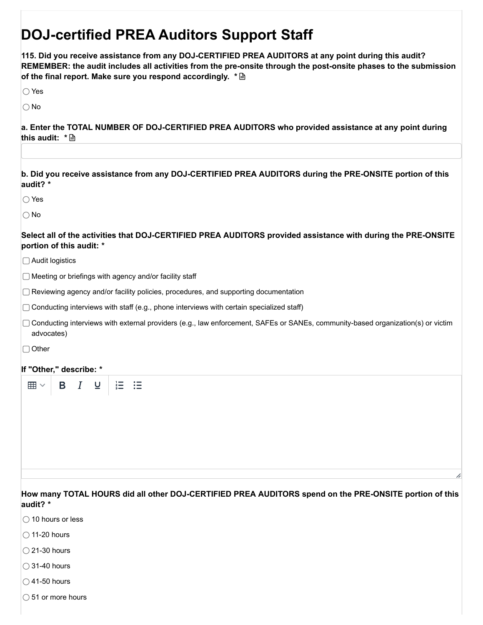# **DOJ-certified PREA Auditors Support Staff**

**115. Did you receive assistance from any DOJ-CERTIFIED PREA AUDITORS at any point during this audit? REMEMBER: the audit includes all activities from the pre-onsite through the post-onsite phases to the submission of the final report. Make sure you respond accordingly. \***

◯ Yes

 $\bigcap$  No

**a. Enter the TOTAL NUMBER OF DOJ-CERTIFIED PREA AUDITORS who provided assistance at any point during this audit: \***

**b. Did you receive assistance from any DOJ-CERTIFIED PREA AUDITORS during the PRE-ONSITE portion of this audit? \***

◯ Yes

 $\bigcap$  No

**Select all of the activities that DOJ-CERTIFIED PREA AUDITORS provided assistance with during the PRE-ONSITE portion of this audit: \***

Audit logistics

 $\Box$  Meeting or briefings with agency and/or facility staff

◯ Reviewing agency and/or facility policies, procedures, and supporting documentation

 $\Box$  Conducting interviews with staff (e.g., phone interviews with certain specialized staff)

Conducting interviews with external providers (e.g., law enforcement, SAFEs or SANEs, community-based organization(s) or victim advocates)

□ Other

#### **If "Other," describe: \***

**How many TOTAL HOURS did all other DOJ-CERTIFIED PREA AUDITORS spend on the PRE-ONSITE portion of this audit? \***

- $\bigcirc$  10 hours or less
- $\bigcirc$  11-20 hours
- $\bigcirc$  21-30 hours
- $\bigcirc$  31-40 hours
- $\bigcirc$  41-50 hours
- $\bigcirc$  51 or more hours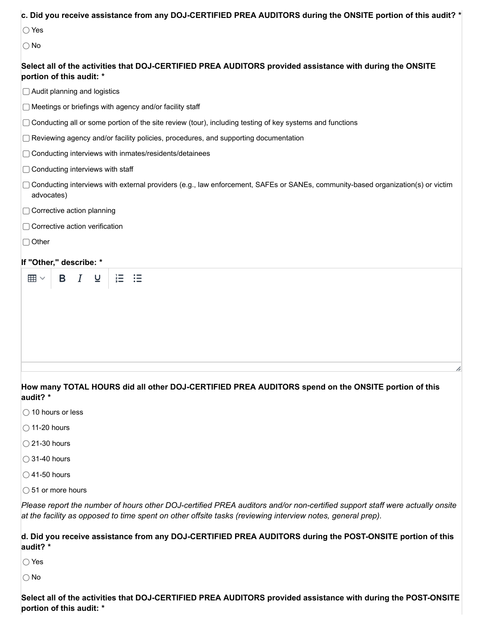| c. Did you receive assistance from any DOJ-CERTIFIED PREA AUDITORS during the ONSITE portion of this audit? *                                                                                                                             |
|-------------------------------------------------------------------------------------------------------------------------------------------------------------------------------------------------------------------------------------------|
| $\bigcirc$ Yes                                                                                                                                                                                                                            |
| $\bigcirc$ No                                                                                                                                                                                                                             |
| Select all of the activities that DOJ-CERTIFIED PREA AUDITORS provided assistance with during the ONSITE<br>portion of this audit: *                                                                                                      |
| $\Box$ Audit planning and logistics                                                                                                                                                                                                       |
| □ Meetings or briefings with agency and/or facility staff                                                                                                                                                                                 |
| $\Box$ Conducting all or some portion of the site review (tour), including testing of key systems and functions                                                                                                                           |
| $\Box$ Reviewing agency and/or facility policies, procedures, and supporting documentation                                                                                                                                                |
| □ Conducting interviews with inmates/residents/detainees                                                                                                                                                                                  |
| $\Box$ Conducting interviews with staff                                                                                                                                                                                                   |
| □ Conducting interviews with external providers (e.g., law enforcement, SAFEs or SANEs, community-based organization(s) or victim<br>advocates)                                                                                           |
| □ Corrective action planning                                                                                                                                                                                                              |
| $\Box$ Corrective action verification                                                                                                                                                                                                     |
| $\Box$ Other                                                                                                                                                                                                                              |
| If "Other," describe: *                                                                                                                                                                                                                   |
| $\equiv$<br>這<br>$\boldsymbol{I}$<br>B.<br>$\underline{\mathsf{u}}$<br>囲∨                                                                                                                                                                 |
|                                                                                                                                                                                                                                           |
| How many TOTAL HOURS did all other DOJ-CERTIFIED PREA AUDITORS spend on the ONSITE portion of this<br>audit? *<br>◯ 10 hours or less                                                                                                      |
| $\bigcirc$ 11-20 hours                                                                                                                                                                                                                    |
| $\bigcirc$ 21-30 hours                                                                                                                                                                                                                    |
| $\bigcirc$ 31-40 hours                                                                                                                                                                                                                    |
| $\bigcirc$ 41-50 hours                                                                                                                                                                                                                    |
| $\bigcirc$ 51 or more hours                                                                                                                                                                                                               |
| Please report the number of hours other DOJ-certified PREA auditors and/or non-certified support staff were actually onsite<br>at the facility as opposed to time spent on other offsite tasks (reviewing interview notes, general prep). |
| d. Did you receive assistance from any DOJ-CERTIFIED PREA AUDITORS during the POST-ONSITE portion of this<br>audit? *                                                                                                                     |
| $\bigcirc$ Yes                                                                                                                                                                                                                            |

 $\overline{\bigcirc}$  No

**Select all of the activities that DOJ-CERTIFIED PREA AUDITORS provided assistance with during the POST-ONSITE portion of this audit: \***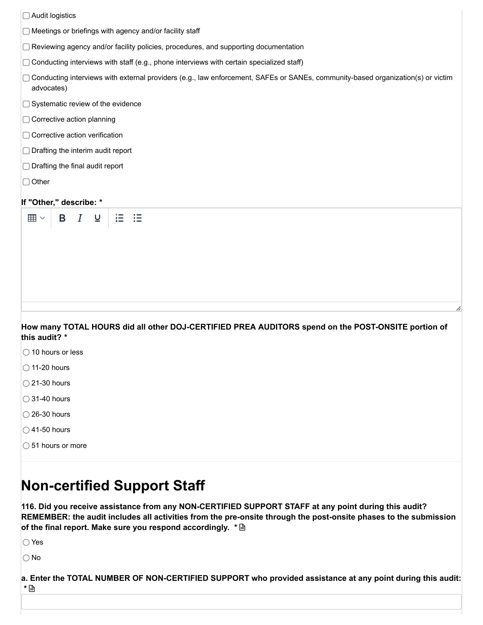| □ Audit logistics                                                                                                                               |
|-------------------------------------------------------------------------------------------------------------------------------------------------|
| $\Box$ Meetings or briefings with agency and/or facility staff                                                                                  |
| □ Reviewing agency and/or facility policies, procedures, and supporting documentation                                                           |
| $\Box$ Conducting interviews with staff (e.g., phone interviews with certain specialized staff)                                                 |
| □ Conducting interviews with external providers (e.g., law enforcement, SAFEs or SANEs, community-based organization(s) or victim<br>advocates) |
| □ Systematic review of the evidence                                                                                                             |
| □ Corrective action planning                                                                                                                    |
| □ Corrective action verification                                                                                                                |
| $\Box$ Drafting the interim audit report                                                                                                        |
| $\Box$ Drafting the final audit report                                                                                                          |
| $\Box$ Other                                                                                                                                    |
| If "Other," describe: *                                                                                                                         |
| $\equiv$<br>$\boldsymbol{I}$<br>這<br>$\underline{\mathsf{U}}$<br>$\boxplus$ $\checkmark$<br>B                                                   |
|                                                                                                                                                 |
| How many TOTAL HOURS did all other DOJ-CERTIFIED PREA AUDITORS spend on the POST-ONSITE portion of<br>this audit? *                             |
| $\bigcirc$ 10 hours or less                                                                                                                     |
| $\bigcirc$ 11-20 hours                                                                                                                          |
| $\bigcirc$ 21-30 hours                                                                                                                          |
| $\bigcirc$ 31-40 hours                                                                                                                          |
| ◯ 26-30 hours                                                                                                                                   |

- $\bigcirc$  41-50 hours
- ◯ 51 hours or more

# **Non-certified Support Staff**

**116. Did you receive assistance from any NON-CERTIFIED SUPPORT STAFF at any point during this audit? REMEMBER: the audit includes all activities from the pre-onsite through the post-onsite phases to the submission of the final report. Make sure you respond accordingly. \***

Yes

No

a. Enter the TOTAL NUMBER OF NON-CERTIFIED SUPPORT who provided assistance at any point during this audit: **\***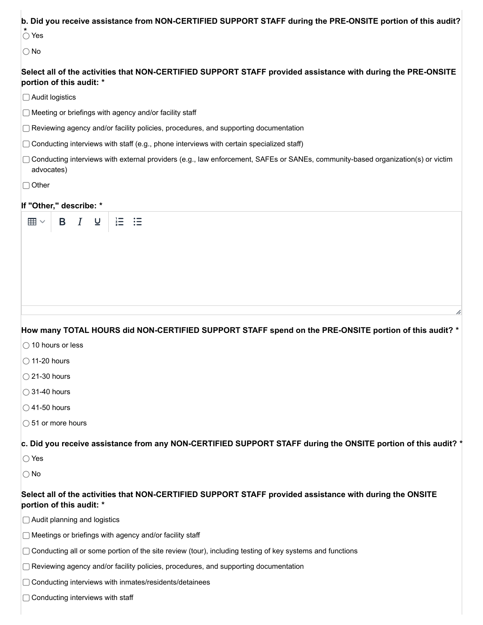|                                         |   |                  |                          |   | b. Did you receive assistance from NON-CERTIFIED SUPPORT STAFF during the PRE-ONSITE portion of this audit?                       |
|-----------------------------------------|---|------------------|--------------------------|---|-----------------------------------------------------------------------------------------------------------------------------------|
| $\bigcirc$ Yes                          |   |                  |                          |   |                                                                                                                                   |
| $\bigcirc$ No                           |   |                  |                          |   |                                                                                                                                   |
| portion of this audit: *                |   |                  |                          |   | Select all of the activities that NON-CERTIFIED SUPPORT STAFF provided assistance with during the PRE-ONSITE                      |
| □ Audit logistics                       |   |                  |                          |   |                                                                                                                                   |
|                                         |   |                  |                          |   | $\Box$ Meeting or briefings with agency and/or facility staff                                                                     |
|                                         |   |                  |                          |   | $\Box$ Reviewing agency and/or facility policies, procedures, and supporting documentation                                        |
|                                         |   |                  |                          |   | $\Box$ Conducting interviews with staff (e.g., phone interviews with certain specialized staff)                                   |
| advocates)                              |   |                  |                          |   | □ Conducting interviews with external providers (e.g., law enforcement, SAFEs or SANEs, community-based organization(s) or victim |
| $\Box$ Other                            |   |                  |                          |   |                                                                                                                                   |
| If "Other," describe: *                 |   |                  |                          |   |                                                                                                                                   |
| 囲∨                                      | B | $\boldsymbol{I}$ | $\underline{\mathsf{U}}$ | 這 | 汇                                                                                                                                 |
|                                         |   |                  |                          |   |                                                                                                                                   |
|                                         |   |                  |                          |   |                                                                                                                                   |
|                                         |   |                  |                          |   |                                                                                                                                   |
|                                         |   |                  |                          |   |                                                                                                                                   |
|                                         |   |                  |                          |   |                                                                                                                                   |
|                                         |   |                  |                          |   |                                                                                                                                   |
|                                         |   |                  |                          |   |                                                                                                                                   |
|                                         |   |                  |                          |   |                                                                                                                                   |
|                                         |   |                  |                          |   | How many TOTAL HOURS did NON-CERTIFIED SUPPORT STAFF spend on the PRE-ONSITE portion of this audit? *                             |
| ◯ 10 hours or less                      |   |                  |                          |   |                                                                                                                                   |
| $\bigcirc$ 11-20 hours                  |   |                  |                          |   |                                                                                                                                   |
| $\bigcirc$ 21-30 hours                  |   |                  |                          |   |                                                                                                                                   |
| $\bigcirc$ 31-40 hours                  |   |                  |                          |   |                                                                                                                                   |
| $\bigcirc$ 41-50 hours                  |   |                  |                          |   |                                                                                                                                   |
| $\bigcirc$ 51 or more hours             |   |                  |                          |   |                                                                                                                                   |
|                                         |   |                  |                          |   | c. Did you receive assistance from any NON-CERTIFIED SUPPORT STAFF during the ONSITE portion of this audit? *                     |
| $\bigcirc$ Yes                          |   |                  |                          |   |                                                                                                                                   |
| $\bigcirc$ No                           |   |                  |                          |   |                                                                                                                                   |
| portion of this audit: *                |   |                  |                          |   | Select all of the activities that NON-CERTIFIED SUPPORT STAFF provided assistance with during the ONSITE                          |
| □ Audit planning and logistics          |   |                  |                          |   |                                                                                                                                   |
|                                         |   |                  |                          |   | $\Box$ Meetings or briefings with agency and/or facility staff                                                                    |
|                                         |   |                  |                          |   | $\Box$ Conducting all or some portion of the site review (tour), including testing of key systems and functions                   |
|                                         |   |                  |                          |   | $\Box$ Reviewing agency and/or facility policies, procedures, and supporting documentation                                        |
|                                         |   |                  |                          |   | □ Conducting interviews with inmates/residents/detainees                                                                          |
| $\Box$ Conducting interviews with staff |   |                  |                          |   |                                                                                                                                   |
|                                         |   |                  |                          |   |                                                                                                                                   |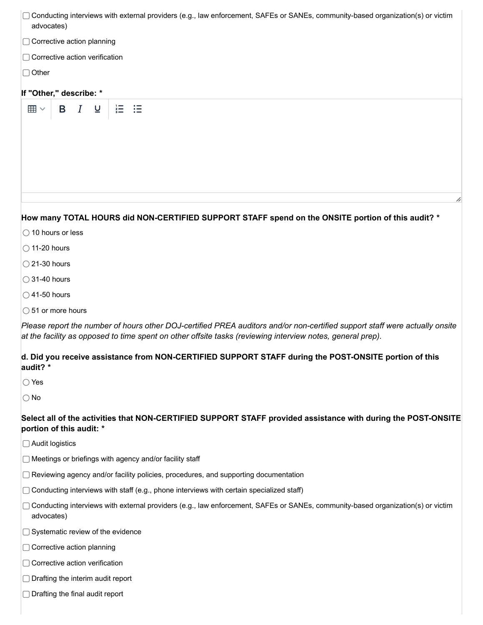| □ Conducting interviews with external providers (e.g., law enforcement, SAFEs or SANEs, community-based organization(s) or victim<br>advocates)                                                                                           |
|-------------------------------------------------------------------------------------------------------------------------------------------------------------------------------------------------------------------------------------------|
| □ Corrective action planning                                                                                                                                                                                                              |
| □ Corrective action verification                                                                                                                                                                                                          |
| $\Box$ Other                                                                                                                                                                                                                              |
| If "Other," describe: *                                                                                                                                                                                                                   |
| $\overline{I}$<br>B<br>$\underline{\mathsf{u}}$<br>這<br>囲∨<br>汇                                                                                                                                                                           |
|                                                                                                                                                                                                                                           |
|                                                                                                                                                                                                                                           |
|                                                                                                                                                                                                                                           |
|                                                                                                                                                                                                                                           |
|                                                                                                                                                                                                                                           |
|                                                                                                                                                                                                                                           |
| How many TOTAL HOURS did NON-CERTIFIED SUPPORT STAFF spend on the ONSITE portion of this audit? *                                                                                                                                         |
| $\bigcirc$ 10 hours or less                                                                                                                                                                                                               |
| $\bigcirc$ 11-20 hours                                                                                                                                                                                                                    |
| $\bigcirc$ 21-30 hours                                                                                                                                                                                                                    |
| $\bigcirc$ 31-40 hours                                                                                                                                                                                                                    |
| $\bigcirc$ 41-50 hours                                                                                                                                                                                                                    |
| $\bigcirc$ 51 or more hours                                                                                                                                                                                                               |
| Please report the number of hours other DOJ-certified PREA auditors and/or non-certified support staff were actually onsite<br>at the facility as opposed to time spent on other offsite tasks (reviewing interview notes, general prep). |
| d. Did you receive assistance from NON-CERTIFIED SUPPORT STAFF during the POST-ONSITE portion of this<br>audit? *                                                                                                                         |
| $\bigcirc$ Yes                                                                                                                                                                                                                            |
| $\bigcirc$ No                                                                                                                                                                                                                             |
| Select all of the activities that NON-CERTIFIED SUPPORT STAFF provided assistance with during the POST-ONSITE<br>portion of this audit: *                                                                                                 |
| □ Audit logistics                                                                                                                                                                                                                         |
| ◯ Meetings or briefings with agency and/or facility staff                                                                                                                                                                                 |
| $\Box$ Reviewing agency and/or facility policies, procedures, and supporting documentation                                                                                                                                                |
| $\Box$ Conducting interviews with staff (e.g., phone interviews with certain specialized staff)                                                                                                                                           |
| Conducting interviews with external providers (e.g., law enforcement, SAFEs or SANEs, community-based organization(s) or victim<br>advocates)                                                                                             |
| $\Box$ Systematic review of the evidence                                                                                                                                                                                                  |
| ◯ Corrective action planning                                                                                                                                                                                                              |
| $\Box$ Corrective action verification                                                                                                                                                                                                     |
| $\supset$ Drafting the interim audit report                                                                                                                                                                                               |

Drafting the final audit report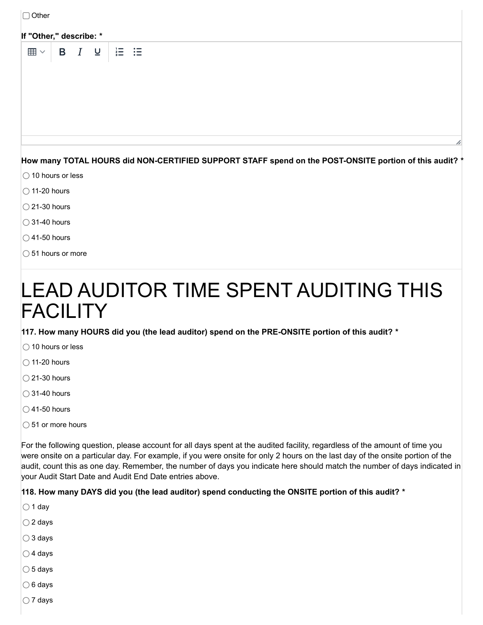| $\Box$ Other                                                                                                                          |   |                         |                   |  |  |  |  |  |  |  |
|---------------------------------------------------------------------------------------------------------------------------------------|---|-------------------------|-------------------|--|--|--|--|--|--|--|
| If "Other," describe: *                                                                                                               |   |                         |                   |  |  |  |  |  |  |  |
| $\boxplus$ $\vee$<br>B                                                                                                                | I | $\overline{\mathsf{u}}$ | $\equiv$ $\equiv$ |  |  |  |  |  |  |  |
| How many TOTAL HOURS did NON-CERTIFIED SUPPORT STAFF spend on the POST-ONSITE portion of this audit? *<br>$\bigcirc$ 10 hours or less |   |                         |                   |  |  |  |  |  |  |  |
| $\bigcirc$ 11-20 hours                                                                                                                |   |                         |                   |  |  |  |  |  |  |  |
| $\bigcirc$ 21-30 hours                                                                                                                |   |                         |                   |  |  |  |  |  |  |  |
| $\bigcirc$ 31-40 hours                                                                                                                |   |                         |                   |  |  |  |  |  |  |  |
| $\bigcirc$ 41-50 hours                                                                                                                |   |                         |                   |  |  |  |  |  |  |  |
| $\bigcirc$ 51 hours or more                                                                                                           |   |                         |                   |  |  |  |  |  |  |  |
| LEAD AUDITOR TIME SPENT AUDITING THIS<br>FACILIT                                                                                      |   |                         |                   |  |  |  |  |  |  |  |

**117. How many HOURS did you (the lead auditor) spend on the PRE-ONSITE portion of this audit? \***

- $\bigcirc$  10 hours or less
- $\bigcirc$  11-20 hours
- $\bigcirc$  21-30 hours
- $\bigcirc$  31-40 hours
- $\bigcirc$  41-50 hours
- $\bigcirc$  51 or more hours

For the following question, please account for all days spent at the audited facility, regardless of the amount of time you were onsite on a particular day. For example, if you were onsite for only 2 hours on the last day of the onsite portion of the audit, count this as one day. Remember, the number of days you indicate here should match the number of days indicated in your Audit Start Date and Audit End Date entries above.

#### **118. How many DAYS did you (the lead auditor) spend conducting the ONSITE portion of this audit? \***

- $\bigcirc$  1 day
- $\bigcirc$  2 days
- 3 days
- $\bigcirc$  4 days
- $\bigcirc$  5 days
- $\bigcirc$  6 days
- $\bigcirc$  7 days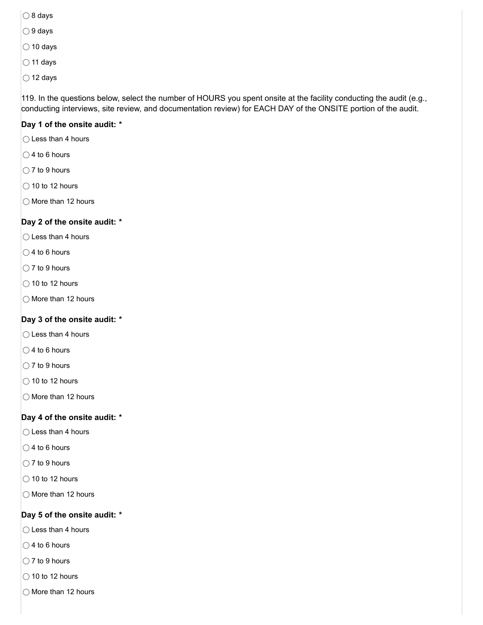- $\bigcirc$  8 days
- $\bigcirc$  9 days
- $\bigcirc$  10 days
- $\bigcirc$  11 days
- $\bigcirc$  12 days

119. In the questions below, select the number of HOURS you spent onsite at the facility conducting the audit (e.g., conducting interviews, site review, and documentation review) for EACH DAY of the ONSITE portion of the audit.

#### **Day 1 of the onsite audit: \***

- $\bigcap$  Less than 4 hours
- $\bigcirc$  4 to 6 hours
- $\bigcirc$  7 to 9 hours
- $\bigcirc$  10 to 12 hours
- $\bigcirc$  More than 12 hours

#### **Day 2 of the onsite audit: \***

- $\bigcirc$  Less than 4 hours
- $\bigcirc$  4 to 6 hours
- $\bigcirc$  7 to 9 hours
- $\bigcirc$  10 to 12 hours
- $\bigcirc$  More than 12 hours

#### **Day 3 of the onsite audit: \***

- $\bigcap$  Less than 4 hours
- $\bigcirc$  4 to 6 hours
- $\bigcirc$  7 to 9 hours
- $\bigcirc$  10 to 12 hours
- $\bigcirc$  More than 12 hours

#### **Day 4 of the onsite audit: \***

- $\bigcirc$  Less than 4 hours
- $\bigcirc$  4 to 6 hours
- $\bigcirc$  7 to 9 hours
- $\bigcirc$  10 to 12 hours
- $\bigcirc$  More than 12 hours

#### **Day 5 of the onsite audit: \***

- $\bigcirc$  Less than 4 hours
- $\bigcirc$  4 to 6 hours
- $\bigcirc$  7 to 9 hours
- $\bigcirc$  10 to 12 hours
- $\bigcirc$  More than 12 hours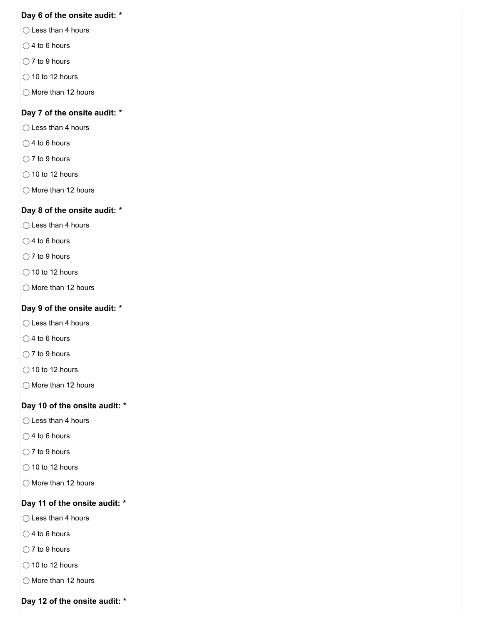#### **Day 6 of the onsite audit: \***

- $\bigcirc$  Less than 4 hours
- $\bigcirc$  4 to 6 hours
- $\bigcirc$  7 to 9 hours
- $\bigcirc$  10 to 12 hours
- $\bigcirc$  More than 12 hours

#### **Day 7 of the onsite audit: \***

- $\bigcirc$  Less than 4 hours
- $\bigcirc$  4 to 6 hours
- $\bigcirc$  7 to 9 hours
- $\bigcirc$  10 to 12 hours
- $\bigcirc$  More than 12 hours

#### **Day 8 of the onsite audit: \***

- $\bigcirc$  Less than 4 hours
- $\bigcirc$  4 to 6 hours
- $\bigcirc$  7 to 9 hours
- $\bigcirc$  10 to 12 hours
- $\bigcirc$  More than 12 hours

#### **Day 9 of the onsite audit: \***

- $\bigcirc$  Less than 4 hours
- $\bigcirc$  4 to 6 hours
- $\bigcirc$  7 to 9 hours
- $\bigcirc$  10 to 12 hours
- $\bigcirc$  More than 12 hours

#### **Day 10 of the onsite audit: \***

- $\bigcirc$  Less than 4 hours
- $\bigcirc$  4 to 6 hours
- $\bigcirc$  7 to 9 hours
- $\bigcirc$  10 to 12 hours
- $\bigcirc$  More than 12 hours

#### **Day 11 of the onsite audit: \***

- $\bigcirc$  Less than 4 hours
- $\bigcirc$  4 to 6 hours
- $\bigcirc$  7 to 9 hours
- $\bigcirc$  10 to 12 hours
- $\bigcirc$  More than 12 hours
- **Day 12 of the onsite audit: \***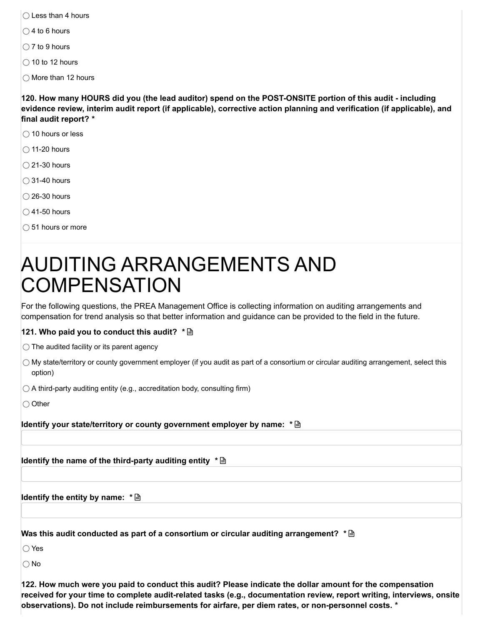- $\bigcap$  Less than 4 hours
- $\bigcirc$  4 to 6 hours
- $\bigcirc$  7 to 9 hours
- $\bigcirc$  10 to 12 hours
- $\bigcap$  More than 12 hours

120. How many HOURS did you (the lead auditor) spend on the POST-ONSITE portion of this audit - including **evidence review, interim audit report (if applicable), corrective action planning and verification (if applicable), and final audit report? \***

- $\bigcirc$  10 hours or less
- $\bigcirc$  11-20 hours
- $\bigcirc$  21-30 hours
- $\bigcirc$  31-40 hours
- $\bigcirc$  26-30 hours
- $\bigcirc$  41-50 hours
- $\bigcirc$  51 hours or more

# AUDITING ARRANGEMENTS AND **COMPENSATION**

For the following questions, the PREA Management Office is collecting information on auditing arrangements and compensation for trend analysis so that better information and guidance can be provided to the field in the future.

#### **121. Who paid you to conduct this audit? \***

 $\bigcirc$  The audited facility or its parent agency

- $\bigcirc$  My state/territory or county government employer (if you audit as part of a consortium or circular auditing arrangement, select this option)
- $\bigcirc$  A third-party auditing entity (e.g., accreditation body, consulting firm)

 $\bigcirc$  Other

**Identify your state/territory or county government employer by name: \***

**Identify the name of the third-party auditing entity \***

**Identify the entity by name: \***

**Was this audit conducted as part of a consortium or circular auditing arrangement? \***

◯ Yes

∩ No

122. How much were you paid to conduct this audit? Please indicate the dollar amount for the compensation **received for your time to complete audit-related tasks (e.g., documentation review, report writing, interviews, onsite observations). Do not include reimbursements for airfare, per diem rates, or non-personnel costs. \***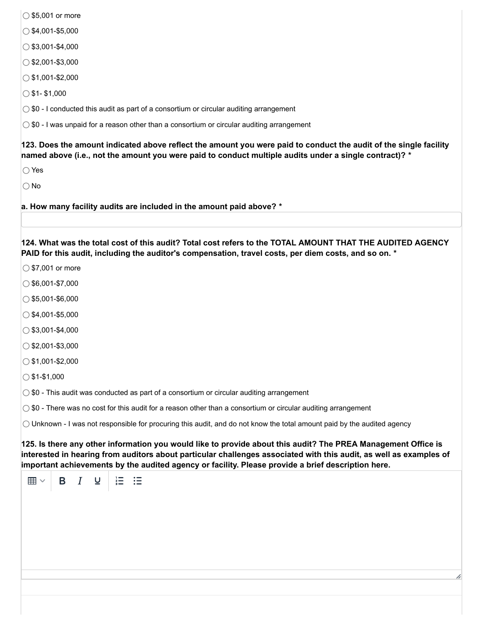- $\bigcirc$  \$5,001 or more
- $\bigcirc$  \$4,001-\$5,000
- $\circ$ \$3,001-\$4,000
- $\bigcirc$ \$2,001-\$3,000
- $\bigcirc$  \$1,001-\$2,000
- $\bigcirc$  \$1- \$1,000
- $\bigcirc$  \$0 I conducted this audit as part of a consortium or circular auditing arrangement

 $\circ$  \$0 - I was unpaid for a reason other than a consortium or circular auditing arrangement

123. Does the amount indicated above reflect the amount you were paid to conduct the audit of the single facility named above (i.e., not the amount you were paid to conduct multiple audits under a single contract)? \*

◯ Yes

 $\bigcap$  No

**a. How many facility audits are included in the amount paid above? \***

124. What was the total cost of this audit? Total cost refers to the TOTAL AMOUNT THAT THE AUDITED AGENCY **PAID for this audit, including the auditor's compensation, travel costs, per diem costs, and so on. \***

- $\circ$  \$7,001 or more
- $\bigcirc$ \$6,001-\$7,000
- $\bigcirc$ \$5,001-\$6,000
- $\bigcirc$  \$4,001-\$5,000
- $\circ$ \$3,001-\$4,000
- $\bigcirc$  \$2,001-\$3,000
- $\bigcirc$  \$1,001-\$2,000
- $\bigcirc$  \$1-\$1,000

 $\bigcirc$  \$0 - This audit was conducted as part of a consortium or circular auditing arrangement

 $\bigcirc$  \$0 - There was no cost for this audit for a reason other than a consortium or circular auditing arrangement

 $\bigcirc$  Unknown - I was not responsible for procuring this audit, and do not know the total amount paid by the audited agency

125. Is there any other information you would like to provide about this audit? The PREA Management Office is interested in hearing from auditors about particular challenges associated with this audit, as well as examples of **important achievements by the audited agency or facility. Please provide a brief description here.**